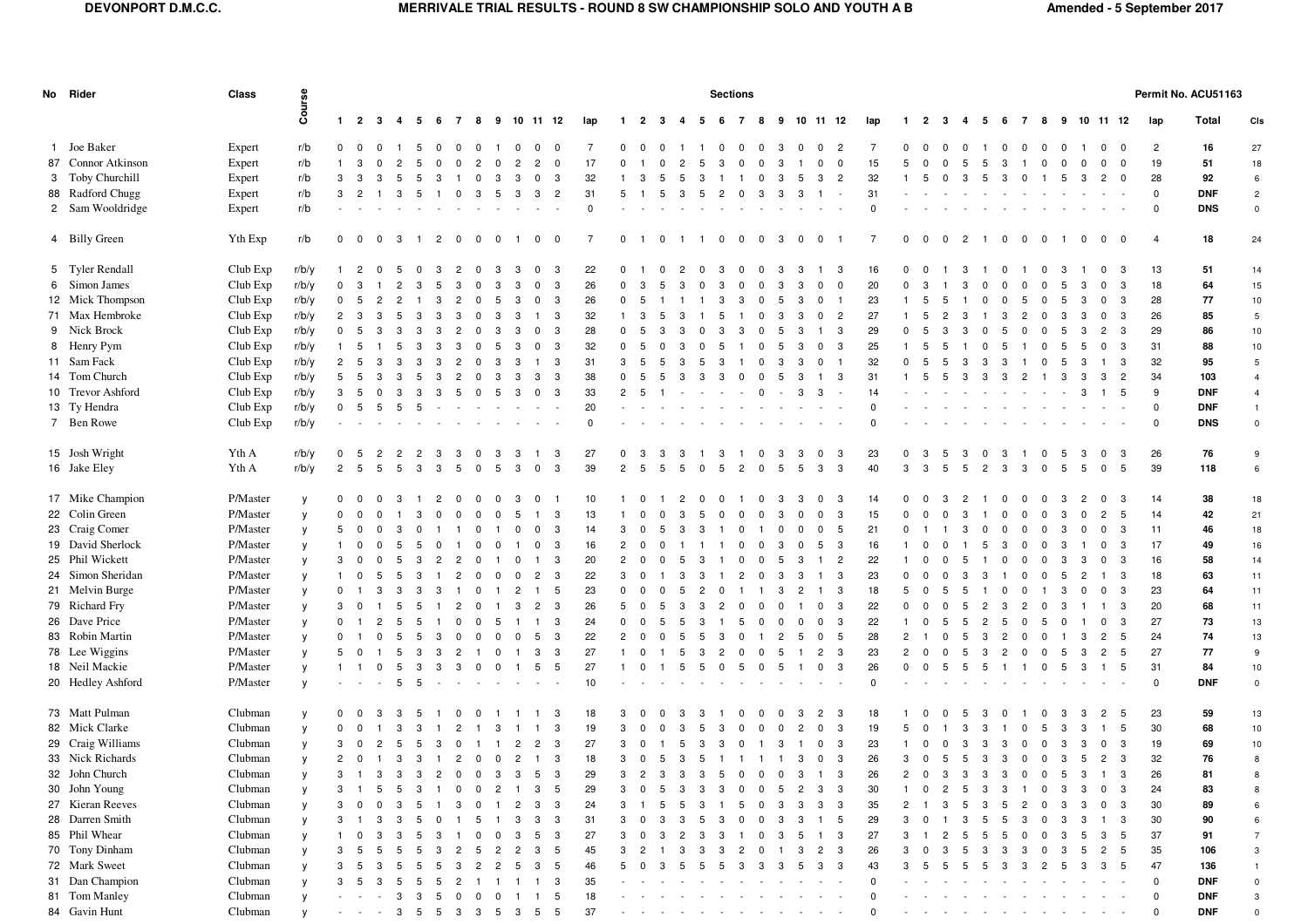| $1 \quad 2 \quad 3$<br>9 10 11 12<br>lap<br>Total<br>4 5<br>678<br>lap<br>- 6<br>10 11 12<br>$\overline{2}$<br>10 11 12<br>Cls<br>$\mathbf{1}$<br>-2<br>-3<br>4<br>-5<br>- 7<br>8<br>9<br>lap<br>-3<br>-5<br>- 6<br>$\overline{7}$<br>8<br>9<br>1 Joe Baker<br>Expert<br>r/b<br>$0\quad 0$<br>$\overline{0}$<br>$\overline{2}$<br>7<br>$\overline{2}$<br>16<br>27<br>$\Omega$<br>$^{\circ}$<br>$^{\circ}$<br>7<br>$^{\circ}$<br>$\Omega$<br>$\Omega$<br>$\mathbf 0$<br>$\Omega$<br>$^{\circ}$<br>$\Omega$<br>$^{\circ}$<br>$^{\circ}$<br>$^{\circ}$<br>$\overline{\mathbf{0}}$<br>-5<br>$\Omega$<br>$\mathbf{0}$<br>$^{\circ}$<br>$\Omega$<br>$^{\circ}$<br>0<br>3<br>$\Omega$<br>$^{\circ}$<br>$\Omega$<br>87 Connor Atkinson<br>19<br>18<br>Expert<br>r/b<br>17<br>15<br>51<br>$\overline{2}$<br>$\overline{\mathbf{0}}$<br>-3<br>$\Omega$<br>$\Omega$<br>0<br>3 Toby Churchill<br>28<br>Expert<br>r/b<br>92<br>3<br>-3<br>32<br>$\overline{2}$<br>32<br>$\overline{\mathbf{0}}$<br>6<br>3<br>$\overline{2}$<br>-3<br>5<br>$^{\circ}$<br>5<br>3<br>3<br>-5<br>$\Omega$<br>-3<br>-3<br>з<br>з<br>-3<br>-3<br>-5<br>88 Radford Chugg<br>31<br>$\mathbf 0$<br>Expert<br>r/b<br>$\mathbf{3}$<br>31<br><b>DNF</b><br>3<br>$\overline{2}$<br>5<br>3<br>$\overline{2}$<br>$\overline{2}$<br>-3<br>$\mathcal{B}$<br>-5<br>5<br>5<br>3<br>-5<br>-3<br>-3<br>2 Sam Wooldridge<br><b>DNS</b><br>Expert<br>r/b<br>$\Omega$<br>$\Omega$<br>$\Omega$<br>$\mathbf 0$<br>4 Billy Green<br>Yth Exp<br>r/b<br>18<br>0 0 0 3 1 2 0<br>$\overline{0}$<br>1 0 0<br>$0 \quad 1$<br>$\overline{\mathbf{0}}$<br>$\overline{0}$<br>$\overline{\mathbf{0}}$<br>7<br>$\mathbf{0}$<br>$\overline{0}$<br>$\overline{2}$<br>$\overline{4}$<br>24<br>$\overline{0}$<br>-7<br>1 1 0<br>$\overline{0}$<br>-3<br>$\overline{\mathbf{0}}$<br>$\overline{0}$<br>$\overline{1}$<br>$\overline{0}$<br>$\mathbf 0$<br>$\overline{\mathbf{0}}$<br>1 0<br>$0\quad 0$<br>$\overline{\phantom{1}}$<br>5 Tyler Rendall<br>Club Exp<br>r/b/y<br>22<br>16<br>13<br>51<br>$\overline{2}$<br>-3<br>$\Omega$<br>-3<br>-3<br>14<br>-5<br>-3<br>-3<br>-3<br>3<br>-3<br>6 Simon James<br>18<br>Club Exp<br>r/b/y<br>26<br>20<br>64<br>15<br>0<br>-3<br>-3<br>-3<br>$\Omega$<br>$^{\circ}$<br>$\Omega$<br>$^{\circ}$<br>-3<br>3<br>$\mathbf 0$<br>3<br>з<br>-5<br>12 Mick Thompson<br>r/b/y<br>Club Exp<br>28<br>77<br>10<br>$\mathbf 0$<br>26<br>23<br>-3<br>-3<br>$\Omega$<br>- 5<br>5<br>$^{\circ}$<br>3<br>$\Omega$<br>5<br>5<br>3<br>$\mathbf{0}$<br>3<br>З<br>71 Max Hembroke<br>Club Exp<br>r/b/y<br>27<br>26<br>85<br>$\overline{2}$<br>$\mathbf{3}$<br>3<br>32<br>$\overline{2}$<br>3<br>$5\phantom{.0}$<br>3<br>3<br>$^{\circ}$<br>$\overline{2}$<br>3<br>$\mathbf 0$<br>3<br>9 Nick Brock<br>Club Exp<br>r/b/y<br>28<br>29<br>86<br>10<br>$\mathbf 0$<br>29<br>- 5<br>-3<br>$\Omega$<br>-3<br>$\overline{2}$<br>- 3<br>$^{\circ}$<br>3<br>$\overline{1}$<br>-3<br>3<br>n<br>-5<br>8 Henry Pym<br>Club Exp<br>r/b/y<br>31<br>88<br>10<br>32<br>- 3<br>25<br>3<br>-3<br>$\Omega$<br>$\Omega$<br>$^{\circ}$<br>$^{\circ}$<br>-5<br>11 Sam Fack<br>Club Exp<br>31<br>32<br>95<br>5<br>r/b/y<br>$\overline{2}$<br>3<br>32<br>- 3<br>3<br>3<br>$\overline{0}$<br>-5<br>3<br>-3<br>- 5<br>3<br>3<br>2<br>-3<br>-3<br>$\mathbf{1}$<br>- 5<br>-5<br>5<br>-3<br>$\Omega$<br>3<br>3<br>5<br>$\overline{1}$<br>-3<br>14 Tom Church<br>Club Exp<br>34<br>r/b/y<br>38<br>103<br>5<br>31<br>$\overline{2}$<br>$\overline{4}$<br>3<br>- 3<br>- 3<br>3<br>3<br>10 Trevor Ashford<br>9<br>Club Exp<br>r/b/y<br>33<br><b>DNF</b><br>- 3<br>3<br>14<br>5<br>$\overline{4}$<br>3<br>$\overline{2}$<br>$\sim 100$<br>$\mathbf 0$<br>$\Omega$<br>3<br>3<br>$\overline{1}$<br>-5<br>-3<br>13 Ty Hendra<br>Club Exp<br>r/b/y<br>20<br>$\Omega$<br><b>DNF</b><br>$\mathbf 0$<br>$\Omega$<br>- 5<br>$\overline{1}$<br>7 Ben Rowe<br>Club Exp<br>r/b/y<br><b>DNS</b><br>$\mathbf 0$<br>$\mathbf 0$<br>$\Omega$<br>$\Omega$<br>15 Josh Wright<br>Yth A<br>r/b/y<br>26<br>76<br>27<br>23<br>$^{\circ}$<br>- 5<br>3<br>-3<br>-3<br>9<br>-3<br>$\Omega$<br>-3<br>-3<br>3<br>$^{\circ}$<br><sup>0</sup><br>-3<br>5<br>16 Jake Eley<br>Yth A<br>r/b/y<br>39<br>39<br>118<br>$\overline{2}$<br>$\mathbf{3}$<br>$\mathbf{3}$<br>40<br>5<br>- 5<br>-5<br>5<br>3<br>5<br>3<br>$\mathbf 0$<br>$\overline{2}$<br>-5<br>5<br>$\Omega$<br>-5<br>5<br>3<br>3<br>3<br>5<br>3<br>5<br>5<br>$\overline{0}$<br>6<br>3<br>5<br>$\Omega$<br>-5<br>.5<br>2<br>-5<br>$\overline{2}$<br>3<br>$\Omega$<br>17 Mike Champion<br>P/Master<br>14<br>38<br>18<br>$^{\circ}$<br>10<br>$\mathbf 0$<br>- 3<br>14<br>-3<br>$\overline{0}$<br>$^{\circ}$<br>$^{\circ}$<br>- 1<br>$^{\circ}$<br>$^{\circ}$<br>3<br>$\Omega$<br>$\mathcal{P}$<br>$^{\circ}$<br>3<br>$\overline{2}$<br>$\mathbf 0$<br>-2<br>- 0<br>- 0<br>-3<br>0<br>-3<br>- 0<br>22 Colin Green<br>P/Master<br>42<br>15<br>14<br>21<br>$\Omega$<br>13<br>-3<br>5<br>y<br>3<br>2<br>$\Omega$<br>3<br>$\Omega$<br>5<br>23 Craig Comer<br>P/Master<br>11<br>46<br>5<br>3<br>14<br>5<br>21<br>$\mathbf 0$<br>3<br>18<br>y<br>$\overline{\mathbf{0}}$<br>$^{\circ}$<br>3<br>-5<br>$\mathbf 0$<br>$\Omega$<br>3<br>$\mathbf 0$<br>3<br>з<br>$\Omega$<br>$\Omega$<br>3<br><sup>0</sup><br>$\Omega$<br>$\Omega$<br>19 David Sherlock<br>P/Master<br>17<br>49<br>16<br>16<br>16<br>- 3<br>$\mathsf{v}$<br>$^{\circ}$<br>-3<br>$\overline{2}$<br>-5<br>- 3<br>- 0<br>3<br>$\mathbf 0$<br>25 Phil Wickett<br>P/Master<br>20<br>16<br>58<br>14<br>3<br>$\overline{2}$<br>22<br>-3<br>$\mathsf{v}$<br>-3<br>$\overline{2}$<br>-1<br>$^{\circ}$<br>24 Simon Sheridan<br>P/Master<br>22<br>23<br>18<br>63<br>$\overline{2}$<br>$_{3}$<br>3<br>- 3<br>- 3<br>11<br>y<br>$1 \quad 0$<br>-5<br>$\overline{2}$<br>3<br>$\overline{c}$<br>3<br>$\overline{1}$<br>$^{\circ}$<br>$\Omega$<br>3<br>$^{\circ}$<br>5<br>$\overline{c}$<br>-5<br>3<br>$\overline{0}$<br>$^{\circ}$<br>$^{\circ}$<br>$^{\circ}$<br>3<br>$^{\circ}$<br>3<br>3<br>$\Omega$<br>$\overline{1}$<br>-1<br>21 Melvin Burge<br>P/Master<br>23<br>64<br>11<br>0<br>23<br>18<br>- 3<br>$\mathsf{v}$<br>5<br>$\Omega$<br>- 3<br>5<br>0<br>3<br>$\mathbf 0$<br>$\mathbf{0}$<br>79 Richard Fry<br>P/Master<br>20<br>68<br>3<br>- 3<br>26<br>- 3<br>22<br>3<br>11<br>$\mathsf{v}$<br>$\overline{c}$<br>5<br>$\Omega$<br>- 0<br>5<br>5<br>$\Omega$<br>2<br>3<br>-5<br>0<br>-3<br>з<br>5<br>з<br>26 Dave Price<br>P/Master<br>24<br>27<br>73<br>13<br>0 <sub>1</sub><br>- 3<br>22<br>$\mathbf{3}$<br>$\mathsf{v}$<br>$\overline{2}$<br>-5<br>-5<br>1 3<br>$\Omega$<br>$\mathbf 0$<br>$\mathbf{0}$<br>$^{\circ}$<br>-5<br>3<br>5<br>$^{\circ}$<br>$^{\circ}$<br>-5<br>2<br>-5<br>$^{\circ}$<br>-5<br>$\mathbf{0}$<br>-5<br>0<br>83 Robin Martin<br>P/Master<br>24<br>74<br>13<br>$\mathbf 0$<br>- 3<br>22<br>$\overline{2}$<br>$5\overline{)}$<br>28<br>$\overline{2}$<br>5<br>V<br>$\Omega$<br>5<br>$\mathbf 0$<br>3<br>5<br>$\Omega$<br>$^{\circ}$<br>- 0<br>$\Omega$<br>3<br>3<br>2<br>$\Omega$<br>-3<br>78 Lee Wiggins<br>27<br>P/Master<br>27<br>23<br>5<br>77<br>5<br>3<br>- 3<br>$\overline{2}$<br>$\mathbf{3}$<br>$\overline{c}$<br>9<br>V<br>$\overline{\mathbf{0}}$<br>5<br>-3<br>2<br>$\Omega$<br>-3<br>3<br>2<br>$\Omega$<br>3<br>$\Omega$<br>5<br>5<br>18 Neil Mackie<br>26<br>31<br>P/Master<br>27<br>84<br>$1 \quad 1$<br>5<br>$-5$<br>$\Omega$<br>5<br>10<br>$\mathsf{v}$<br>5<br>$\overline{0}$<br>$\mathbf 0$<br>- 3<br>$\Omega$<br>-5<br>5<br>5<br>$_{3}$<br>-5<br>3<br>3<br>$^{\circ}$<br>$^{\circ}$<br>-5<br>$\mathbf{0}$<br>-5<br>$\mathbf 0$<br>$\blacksquare$<br>$\mathbf{1}$<br>- 1<br>- 1<br>20 Hedley Ashford<br>P/Master<br>$\mathbf 0$<br><b>DNF</b><br>10<br>$\Omega$<br>$\mathbf 0$<br>V<br>73 Matt Pulman<br>Clubman<br>23<br>59<br>18<br>13<br>$\mathbf{0}$<br>-3<br>18<br>3<br>2<br>-3<br>-5<br>$\overline{\mathbf{0}}$<br>3<br>3<br>-3<br>$\overline{2}$<br>-3<br>-3<br>0<br>з<br>0<br>5<br>-3<br>-0<br>-0<br>82 Mick Clarke<br>Clubman<br>19<br>30<br>68<br>10<br>$\mathsf{v}$<br>$\mathbf{0}$<br>19<br>3<br>5<br>3<br>3<br>$^{\circ}$<br>5<br>0<br>-3<br>2<br>-3<br>5<br>0<br>3<br>3<br>$\Omega$<br>29 Craig Williams<br>69<br>Clubman<br>3<br>27<br>23<br>19<br>10<br>$\overline{2}$<br>3<br>3<br>- 3<br>$\overline{0}$<br>$\mathbf{3}$<br>V<br>$\overline{\mathbf{0}}$<br>$\overline{2}$<br>-5<br>3<br>$\overline{c}$<br>3<br>$^{\circ}$<br>$\Omega$<br>3<br>3<br>3<br>$^{\circ}$<br>3<br>-3<br>-5<br>$^{\circ}$<br>$\Omega$<br>3<br>3<br>$\Omega$<br>33 Nick Richards<br>Clubman<br>18<br>32<br>76<br>2 0 1 3 3 1 2 0 0 2 1 3<br>3<br>5 3 5 1 1 1 1 3<br>26<br>3<br>0 <sub>5</sub><br>5 3<br>3 0 0 3 5<br>2 3<br>8<br>V<br>$\overline{\mathbf{0}}$<br>$\overline{\mathbf{0}}$<br>$_{3}$<br>26<br>32 John Church<br>Clubman<br>3 1 3 3 3 2 0 0 3 3 5 3<br>29<br>$\mathcal{R}$<br>2 3 3 3 5 0 0 0 3 1<br>$\mathbf{3}$<br>26<br>2 0 3 3 3 3 0 0 5 3 1 3<br>81<br>$\mathbf{v}$<br>30 John Young<br>Clubman<br>83<br>$\overline{c}$<br>$1 \quad 3$<br>5<br>29<br>$\overline{2}$<br>$\overline{\mathbf{3}}$<br>3<br>3<br>24<br>3<br>5<br>$\overline{0}$<br>3<br>5<br>3<br>3<br>$\mathbf 0$<br>5<br>30<br>$\mathbf 0$<br>5<br>$\mathbf{3}$<br>3<br>$\mathbf 0$<br>3<br>$\mathbf{3}$<br>$\mathbf 0$<br>V<br>$\overline{1}$<br>5<br>3<br>1 0<br>$\mathbf 0$<br>3<br>$\overline{0}$<br>-1<br>$\overline{c}$<br>-1<br>8<br>27 Kieran Reeves<br>Clubman<br>30<br>$\mathbf{3}$<br>24<br>3<br>35<br>89<br>3<br>3<br>3<br>3<br>$\mathbf 0$<br>3<br>3<br>- 3<br>$\mathbf{0}$<br>-5<br>-3<br>0<br>$\overline{2}$<br>-5<br>5<br>-3<br>2<br>3<br>5<br>-3<br>5<br>$\overline{c}$<br>3<br>3<br>$\mathbf{0}$<br>3<br>0<br>6<br>28 Darren Smith<br>Clubman<br>30<br>$\mathbf{3}$<br>31<br>5<br>29<br>3<br>90<br>3<br>3<br>3<br>0<br>3<br>$\overline{1}$<br>3<br>3<br>3<br>-5<br>$^{\circ}$<br>5<br>3<br>3<br>3<br>-3<br>3<br>$\Omega$<br>3<br>-5<br>5<br>-3<br>6<br>-3<br>5<br>0<br>0<br>-1<br>-1<br>- ()<br>85 Phil Whear<br>Clubman<br>37<br>$\mathbf{3}$<br>27<br>27<br>5<br>5<br>5<br>- 3<br>$3^{\circ}$<br>91<br>$\overline{7}$<br>-3<br>3<br>$^{\circ}$<br>-3<br>3<br>3<br>-3<br>$^{\circ}$<br>-3<br>$\overline{1}$<br>-5<br>$\mathbf 0$<br>3<br>- 5<br>1 0<br>- 3<br>-5<br>0<br>5<br>-5<br>70 Tony Dinham<br>35<br>Clubman<br>45<br>26<br>5<br>3<br>5<br>$\overline{c}$<br>- 3<br>$\overline{2}$<br>106<br>3<br>3<br>- 5<br>-5<br>2<br>5<br>$\overline{c}$<br>2<br>3<br>3<br>3<br>5<br><b>V</b><br>-5<br>3<br>з<br>-3<br>2<br>0<br>5<br>-3<br>З<br>-3<br>. ხ<br>-0<br>72 Mark Sweet<br>Clubman<br>5<br>47<br>5<br>46<br>$\mathbf{3}$<br>$\mathbf{3}$<br>43<br>3<br>3<br>- 5<br>5<br>3<br>$\overline{c}$<br>$\overline{c}$<br>3<br>5<br>3<br>5<br>-3<br>136<br>5<br>- 5<br>з<br>3<br>3<br>2<br>$\overline{1}$<br>31 Dan Champion<br>$\mathbf 0$<br>Clubman<br><b>DNF</b><br>3<br>35<br>$\mathbf 0$<br>$\overline{c}$<br>1 1 1 3<br>$\sim$ $-$<br>$\omega_{\rm{max}}$<br>$\mathbf 0$<br>- 5<br>-5<br>5<br>$\overline{1}$<br>81 Tom Manley<br>Clubman<br>$\overline{0}$<br>18<br><b>DNF</b><br>5<br>$\mathsf{V}$<br>5<br>$\Omega$<br>$^{\circ}$<br>$^{\circ}$<br>$\overline{1}$<br>3<br>84 Gavin Hunt<br>Clubman<br>3 5 5 3 3 5 3 5 5<br>37<br>$\Omega$<br><b>DNF</b><br>$\Omega$<br>V<br>$\mathbf 0$<br>$\sigma_{\rm{eff}}=0.01$<br>$\sim 100$<br>$\sim$ | No Rider | Class | Course | <b>Sections</b> |  |  |  |  |  |  |  |  |  |  |  |  |  | Permit No. ACU51163 |  |  |  |  |  |  |  |  |  |  |
|---------------------------------------------------------------------------------------------------------------------------------------------------------------------------------------------------------------------------------------------------------------------------------------------------------------------------------------------------------------------------------------------------------------------------------------------------------------------------------------------------------------------------------------------------------------------------------------------------------------------------------------------------------------------------------------------------------------------------------------------------------------------------------------------------------------------------------------------------------------------------------------------------------------------------------------------------------------------------------------------------------------------------------------------------------------------------------------------------------------------------------------------------------------------------------------------------------------------------------------------------------------------------------------------------------------------------------------------------------------------------------------------------------------------------------------------------------------------------------------------------------------------------------------------------------------------------------------------------------------------------------------------------------------------------------------------------------------------------------------------------------------------------------------------------------------------------------------------------------------------------------------------------------------------------------------------------------------------------------------------------------------------------------------------------------------------------------------------------------------------------------------------------------------------------------------------------------------------------------------------------------------------------------------------------------------------------------------------------------------------------------------------------------------------------------------------------------------------------------------------------------------------------------------------------------------------------------------------------------------------------------------------------------------------------------------------------------------------------------------------------------------------------------------------------------------------------------------------------------------------------------------------------------------------------------------------------------------------------------------------------------------------------------------------------------------------------------------------------------------------------------------------------------------------------------------------------------------------------------------------------------------------------------------------------------------------------------------------------------------------------------------------------------------------------------------------------------------------------------------------------------------------------------------------------------------------------------------------------------------------------------------------------------------------------------------------------------------------------------------------------------------------------------------------------------------------------------------------------------------------------------------------------------------------------------------------------------------------------------------------------------------------------------------------------------------------------------------------------------------------------------------------------------------------------------------------------------------------------------------------------------------------------------------------------------------------------------------------------------------------------------------------------------------------------------------------------------------------------------------------------------------------------------------------------------------------------------------------------------------------------------------------------------------------------------------------------------------------------------------------------------------------------------------------------------------------------------------------------------------------------------------------------------------------------------------------------------------------------------------------------------------------------------------------------------------------------------------------------------------------------------------------------------------------------------------------------------------------------------------------------------------------------------------------------------------------------------------------------------------------------------------------------------------------------------------------------------------------------------------------------------------------------------------------------------------------------------------------------------------------------------------------------------------------------------------------------------------------------------------------------------------------------------------------------------------------------------------------------------------------------------------------------------------------------------------------------------------------------------------------------------------------------------------------------------------------------------------------------------------------------------------------------------------------------------------------------------------------------------------------------------------------------------------------------------------------------------------------------------------------------------------------------------------------------------------------------------------------------------------------------------------------------------------------------------------------------------------------------------------------------------------------------------------------------------------------------------------------------------------------------------------------------------------------------------------------------------------------------------------------------------------------------------------------------------------------------------------------------------------------------------------------------------------------------------------------------------------------------------------------------------------------------------------------------------------------------------------------------------------------------------------------------------------------------------------------------------------------------------------------------------------------------------------------------------------------------------------------------------------------------------------------------------------------------------------------------------------------------------------------------------------------------------------------------------------------------------------------------------------------------------------------------------------------------------------------------------------------------------------------------------------------------------------------------------------------------------------------------------------------------------------------------------------------------------------------------------------------------------------------------------------------------------------------------------------------------------------------------------------------------------------------------------------------------------------------------------------------------------------------------------------------------------------------------------------------------------------------------------------------------------------------------------------------------------------------------------------------------------------------------------------------------------------------------------------------------------------------------------------------------------------------------------------------------------------------------------------------------------------------------------------------------------------------------------------------------------------------------------------------------------------------------------------------------------------------------------------------------------------------------------------------------------------------------------------------------------------------------------------------------------------------------------------------------------------------------------------------------------------------------------------------------------------------------------------------------------------------------------------------------------------------------------------------------------------------------------------------------------------------------------------------------------------------------------------------------------------------------------------------------------------------------------------------------------------------------------------------------------------------------------------------------------------------------------------------------------------------------------------------------------------------------------------------------------------------------------------------------------------------------------------------------------------------------------------------------------------------------------------------------------------------------------------------------------------------------------------------------------------------------------------------------------------------------------------------------------------------------------------------------------------------------------------------------------------------------------------------------------------------------------------------------------------------------------------------------------------------------------------------------------------------------------------------------------------------------------------------------------------------------------------------------------------------------------------------------------------------------------------------------------------------------------------------------------------------------------------------------------------------------------------------------------------------------------------------------------------------------------------------------------------------------|----------|-------|--------|-----------------|--|--|--|--|--|--|--|--|--|--|--|--|--|---------------------|--|--|--|--|--|--|--|--|--|--|
|                                                                                                                                                                                                                                                                                                                                                                                                                                                                                                                                                                                                                                                                                                                                                                                                                                                                                                                                                                                                                                                                                                                                                                                                                                                                                                                                                                                                                                                                                                                                                                                                                                                                                                                                                                                                                                                                                                                                                                                                                                                                                                                                                                                                                                                                                                                                                                                                                                                                                                                                                                                                                                                                                                                                                                                                                                                                                                                                                                                                                                                                                                                                                                                                                                                                                                                                                                                                                                                                                                                                                                                                                                                                                                                                                                                                                                                                                                                                                                                                                                                                                                                                                                                                                                                                                                                                                                                                                                                                                                                                                                                                                                                                                                                                                                                                                                                                                                                                                                                                                                                                                                                                                                                                                                                                                                                                                                                                                                                                                                                                                                                                                                                                                                                                                                                                                                                                                                                                                                                                                                                                                                                                                                                                                                                                                                                                                                                                                                                                                                                                                                                                                                                                                                                                                                                                                                                                                                                                                                                                                                                                                                                                                                                                                                                                                                                                                                                                                                                                                                                                                                                                                                                                                                                                                                                                                                                                                                                                                                                                                                                                                                                                                                                                                                                                                                                                                                                                                                                                                                                                                                                                                                                                                                                                                                                                                                                                                                                                                                                                                                                                                                                                                                                                                                                                                                                                                                                                                                                                                                                                                                                                                                                                                                                                                                                                                                                                                                                                                                                                                                                                                                                                                                                                                                                                                                                                                                                                                                                                                                                                                                                                                                                                                                                                                                                                                                                                                                                                                                                                                                                                                                                                                                                                                                                                           |          |       |        |                 |  |  |  |  |  |  |  |  |  |  |  |  |  |                     |  |  |  |  |  |  |  |  |  |  |
|                                                                                                                                                                                                                                                                                                                                                                                                                                                                                                                                                                                                                                                                                                                                                                                                                                                                                                                                                                                                                                                                                                                                                                                                                                                                                                                                                                                                                                                                                                                                                                                                                                                                                                                                                                                                                                                                                                                                                                                                                                                                                                                                                                                                                                                                                                                                                                                                                                                                                                                                                                                                                                                                                                                                                                                                                                                                                                                                                                                                                                                                                                                                                                                                                                                                                                                                                                                                                                                                                                                                                                                                                                                                                                                                                                                                                                                                                                                                                                                                                                                                                                                                                                                                                                                                                                                                                                                                                                                                                                                                                                                                                                                                                                                                                                                                                                                                                                                                                                                                                                                                                                                                                                                                                                                                                                                                                                                                                                                                                                                                                                                                                                                                                                                                                                                                                                                                                                                                                                                                                                                                                                                                                                                                                                                                                                                                                                                                                                                                                                                                                                                                                                                                                                                                                                                                                                                                                                                                                                                                                                                                                                                                                                                                                                                                                                                                                                                                                                                                                                                                                                                                                                                                                                                                                                                                                                                                                                                                                                                                                                                                                                                                                                                                                                                                                                                                                                                                                                                                                                                                                                                                                                                                                                                                                                                                                                                                                                                                                                                                                                                                                                                                                                                                                                                                                                                                                                                                                                                                                                                                                                                                                                                                                                                                                                                                                                                                                                                                                                                                                                                                                                                                                                                                                                                                                                                                                                                                                                                                                                                                                                                                                                                                                                                                                                                                                                                                                                                                                                                                                                                                                                                                                                                                                                                                           |          |       |        |                 |  |  |  |  |  |  |  |  |  |  |  |  |  |                     |  |  |  |  |  |  |  |  |  |  |
|                                                                                                                                                                                                                                                                                                                                                                                                                                                                                                                                                                                                                                                                                                                                                                                                                                                                                                                                                                                                                                                                                                                                                                                                                                                                                                                                                                                                                                                                                                                                                                                                                                                                                                                                                                                                                                                                                                                                                                                                                                                                                                                                                                                                                                                                                                                                                                                                                                                                                                                                                                                                                                                                                                                                                                                                                                                                                                                                                                                                                                                                                                                                                                                                                                                                                                                                                                                                                                                                                                                                                                                                                                                                                                                                                                                                                                                                                                                                                                                                                                                                                                                                                                                                                                                                                                                                                                                                                                                                                                                                                                                                                                                                                                                                                                                                                                                                                                                                                                                                                                                                                                                                                                                                                                                                                                                                                                                                                                                                                                                                                                                                                                                                                                                                                                                                                                                                                                                                                                                                                                                                                                                                                                                                                                                                                                                                                                                                                                                                                                                                                                                                                                                                                                                                                                                                                                                                                                                                                                                                                                                                                                                                                                                                                                                                                                                                                                                                                                                                                                                                                                                                                                                                                                                                                                                                                                                                                                                                                                                                                                                                                                                                                                                                                                                                                                                                                                                                                                                                                                                                                                                                                                                                                                                                                                                                                                                                                                                                                                                                                                                                                                                                                                                                                                                                                                                                                                                                                                                                                                                                                                                                                                                                                                                                                                                                                                                                                                                                                                                                                                                                                                                                                                                                                                                                                                                                                                                                                                                                                                                                                                                                                                                                                                                                                                                                                                                                                                                                                                                                                                                                                                                                                                                                                                                                           |          |       |        |                 |  |  |  |  |  |  |  |  |  |  |  |  |  |                     |  |  |  |  |  |  |  |  |  |  |
|                                                                                                                                                                                                                                                                                                                                                                                                                                                                                                                                                                                                                                                                                                                                                                                                                                                                                                                                                                                                                                                                                                                                                                                                                                                                                                                                                                                                                                                                                                                                                                                                                                                                                                                                                                                                                                                                                                                                                                                                                                                                                                                                                                                                                                                                                                                                                                                                                                                                                                                                                                                                                                                                                                                                                                                                                                                                                                                                                                                                                                                                                                                                                                                                                                                                                                                                                                                                                                                                                                                                                                                                                                                                                                                                                                                                                                                                                                                                                                                                                                                                                                                                                                                                                                                                                                                                                                                                                                                                                                                                                                                                                                                                                                                                                                                                                                                                                                                                                                                                                                                                                                                                                                                                                                                                                                                                                                                                                                                                                                                                                                                                                                                                                                                                                                                                                                                                                                                                                                                                                                                                                                                                                                                                                                                                                                                                                                                                                                                                                                                                                                                                                                                                                                                                                                                                                                                                                                                                                                                                                                                                                                                                                                                                                                                                                                                                                                                                                                                                                                                                                                                                                                                                                                                                                                                                                                                                                                                                                                                                                                                                                                                                                                                                                                                                                                                                                                                                                                                                                                                                                                                                                                                                                                                                                                                                                                                                                                                                                                                                                                                                                                                                                                                                                                                                                                                                                                                                                                                                                                                                                                                                                                                                                                                                                                                                                                                                                                                                                                                                                                                                                                                                                                                                                                                                                                                                                                                                                                                                                                                                                                                                                                                                                                                                                                                                                                                                                                                                                                                                                                                                                                                                                                                                                                                                           |          |       |        |                 |  |  |  |  |  |  |  |  |  |  |  |  |  |                     |  |  |  |  |  |  |  |  |  |  |
|                                                                                                                                                                                                                                                                                                                                                                                                                                                                                                                                                                                                                                                                                                                                                                                                                                                                                                                                                                                                                                                                                                                                                                                                                                                                                                                                                                                                                                                                                                                                                                                                                                                                                                                                                                                                                                                                                                                                                                                                                                                                                                                                                                                                                                                                                                                                                                                                                                                                                                                                                                                                                                                                                                                                                                                                                                                                                                                                                                                                                                                                                                                                                                                                                                                                                                                                                                                                                                                                                                                                                                                                                                                                                                                                                                                                                                                                                                                                                                                                                                                                                                                                                                                                                                                                                                                                                                                                                                                                                                                                                                                                                                                                                                                                                                                                                                                                                                                                                                                                                                                                                                                                                                                                                                                                                                                                                                                                                                                                                                                                                                                                                                                                                                                                                                                                                                                                                                                                                                                                                                                                                                                                                                                                                                                                                                                                                                                                                                                                                                                                                                                                                                                                                                                                                                                                                                                                                                                                                                                                                                                                                                                                                                                                                                                                                                                                                                                                                                                                                                                                                                                                                                                                                                                                                                                                                                                                                                                                                                                                                                                                                                                                                                                                                                                                                                                                                                                                                                                                                                                                                                                                                                                                                                                                                                                                                                                                                                                                                                                                                                                                                                                                                                                                                                                                                                                                                                                                                                                                                                                                                                                                                                                                                                                                                                                                                                                                                                                                                                                                                                                                                                                                                                                                                                                                                                                                                                                                                                                                                                                                                                                                                                                                                                                                                                                                                                                                                                                                                                                                                                                                                                                                                                                                                                                                           |          |       |        |                 |  |  |  |  |  |  |  |  |  |  |  |  |  |                     |  |  |  |  |  |  |  |  |  |  |
|                                                                                                                                                                                                                                                                                                                                                                                                                                                                                                                                                                                                                                                                                                                                                                                                                                                                                                                                                                                                                                                                                                                                                                                                                                                                                                                                                                                                                                                                                                                                                                                                                                                                                                                                                                                                                                                                                                                                                                                                                                                                                                                                                                                                                                                                                                                                                                                                                                                                                                                                                                                                                                                                                                                                                                                                                                                                                                                                                                                                                                                                                                                                                                                                                                                                                                                                                                                                                                                                                                                                                                                                                                                                                                                                                                                                                                                                                                                                                                                                                                                                                                                                                                                                                                                                                                                                                                                                                                                                                                                                                                                                                                                                                                                                                                                                                                                                                                                                                                                                                                                                                                                                                                                                                                                                                                                                                                                                                                                                                                                                                                                                                                                                                                                                                                                                                                                                                                                                                                                                                                                                                                                                                                                                                                                                                                                                                                                                                                                                                                                                                                                                                                                                                                                                                                                                                                                                                                                                                                                                                                                                                                                                                                                                                                                                                                                                                                                                                                                                                                                                                                                                                                                                                                                                                                                                                                                                                                                                                                                                                                                                                                                                                                                                                                                                                                                                                                                                                                                                                                                                                                                                                                                                                                                                                                                                                                                                                                                                                                                                                                                                                                                                                                                                                                                                                                                                                                                                                                                                                                                                                                                                                                                                                                                                                                                                                                                                                                                                                                                                                                                                                                                                                                                                                                                                                                                                                                                                                                                                                                                                                                                                                                                                                                                                                                                                                                                                                                                                                                                                                                                                                                                                                                                                                                                                           |          |       |        |                 |  |  |  |  |  |  |  |  |  |  |  |  |  |                     |  |  |  |  |  |  |  |  |  |  |
|                                                                                                                                                                                                                                                                                                                                                                                                                                                                                                                                                                                                                                                                                                                                                                                                                                                                                                                                                                                                                                                                                                                                                                                                                                                                                                                                                                                                                                                                                                                                                                                                                                                                                                                                                                                                                                                                                                                                                                                                                                                                                                                                                                                                                                                                                                                                                                                                                                                                                                                                                                                                                                                                                                                                                                                                                                                                                                                                                                                                                                                                                                                                                                                                                                                                                                                                                                                                                                                                                                                                                                                                                                                                                                                                                                                                                                                                                                                                                                                                                                                                                                                                                                                                                                                                                                                                                                                                                                                                                                                                                                                                                                                                                                                                                                                                                                                                                                                                                                                                                                                                                                                                                                                                                                                                                                                                                                                                                                                                                                                                                                                                                                                                                                                                                                                                                                                                                                                                                                                                                                                                                                                                                                                                                                                                                                                                                                                                                                                                                                                                                                                                                                                                                                                                                                                                                                                                                                                                                                                                                                                                                                                                                                                                                                                                                                                                                                                                                                                                                                                                                                                                                                                                                                                                                                                                                                                                                                                                                                                                                                                                                                                                                                                                                                                                                                                                                                                                                                                                                                                                                                                                                                                                                                                                                                                                                                                                                                                                                                                                                                                                                                                                                                                                                                                                                                                                                                                                                                                                                                                                                                                                                                                                                                                                                                                                                                                                                                                                                                                                                                                                                                                                                                                                                                                                                                                                                                                                                                                                                                                                                                                                                                                                                                                                                                                                                                                                                                                                                                                                                                                                                                                                                                                                                                                                           |          |       |        |                 |  |  |  |  |  |  |  |  |  |  |  |  |  |                     |  |  |  |  |  |  |  |  |  |  |
|                                                                                                                                                                                                                                                                                                                                                                                                                                                                                                                                                                                                                                                                                                                                                                                                                                                                                                                                                                                                                                                                                                                                                                                                                                                                                                                                                                                                                                                                                                                                                                                                                                                                                                                                                                                                                                                                                                                                                                                                                                                                                                                                                                                                                                                                                                                                                                                                                                                                                                                                                                                                                                                                                                                                                                                                                                                                                                                                                                                                                                                                                                                                                                                                                                                                                                                                                                                                                                                                                                                                                                                                                                                                                                                                                                                                                                                                                                                                                                                                                                                                                                                                                                                                                                                                                                                                                                                                                                                                                                                                                                                                                                                                                                                                                                                                                                                                                                                                                                                                                                                                                                                                                                                                                                                                                                                                                                                                                                                                                                                                                                                                                                                                                                                                                                                                                                                                                                                                                                                                                                                                                                                                                                                                                                                                                                                                                                                                                                                                                                                                                                                                                                                                                                                                                                                                                                                                                                                                                                                                                                                                                                                                                                                                                                                                                                                                                                                                                                                                                                                                                                                                                                                                                                                                                                                                                                                                                                                                                                                                                                                                                                                                                                                                                                                                                                                                                                                                                                                                                                                                                                                                                                                                                                                                                                                                                                                                                                                                                                                                                                                                                                                                                                                                                                                                                                                                                                                                                                                                                                                                                                                                                                                                                                                                                                                                                                                                                                                                                                                                                                                                                                                                                                                                                                                                                                                                                                                                                                                                                                                                                                                                                                                                                                                                                                                                                                                                                                                                                                                                                                                                                                                                                                                                                                                                           |          |       |        |                 |  |  |  |  |  |  |  |  |  |  |  |  |  |                     |  |  |  |  |  |  |  |  |  |  |
|                                                                                                                                                                                                                                                                                                                                                                                                                                                                                                                                                                                                                                                                                                                                                                                                                                                                                                                                                                                                                                                                                                                                                                                                                                                                                                                                                                                                                                                                                                                                                                                                                                                                                                                                                                                                                                                                                                                                                                                                                                                                                                                                                                                                                                                                                                                                                                                                                                                                                                                                                                                                                                                                                                                                                                                                                                                                                                                                                                                                                                                                                                                                                                                                                                                                                                                                                                                                                                                                                                                                                                                                                                                                                                                                                                                                                                                                                                                                                                                                                                                                                                                                                                                                                                                                                                                                                                                                                                                                                                                                                                                                                                                                                                                                                                                                                                                                                                                                                                                                                                                                                                                                                                                                                                                                                                                                                                                                                                                                                                                                                                                                                                                                                                                                                                                                                                                                                                                                                                                                                                                                                                                                                                                                                                                                                                                                                                                                                                                                                                                                                                                                                                                                                                                                                                                                                                                                                                                                                                                                                                                                                                                                                                                                                                                                                                                                                                                                                                                                                                                                                                                                                                                                                                                                                                                                                                                                                                                                                                                                                                                                                                                                                                                                                                                                                                                                                                                                                                                                                                                                                                                                                                                                                                                                                                                                                                                                                                                                                                                                                                                                                                                                                                                                                                                                                                                                                                                                                                                                                                                                                                                                                                                                                                                                                                                                                                                                                                                                                                                                                                                                                                                                                                                                                                                                                                                                                                                                                                                                                                                                                                                                                                                                                                                                                                                                                                                                                                                                                                                                                                                                                                                                                                                                                                                                           |          |       |        |                 |  |  |  |  |  |  |  |  |  |  |  |  |  |                     |  |  |  |  |  |  |  |  |  |  |
|                                                                                                                                                                                                                                                                                                                                                                                                                                                                                                                                                                                                                                                                                                                                                                                                                                                                                                                                                                                                                                                                                                                                                                                                                                                                                                                                                                                                                                                                                                                                                                                                                                                                                                                                                                                                                                                                                                                                                                                                                                                                                                                                                                                                                                                                                                                                                                                                                                                                                                                                                                                                                                                                                                                                                                                                                                                                                                                                                                                                                                                                                                                                                                                                                                                                                                                                                                                                                                                                                                                                                                                                                                                                                                                                                                                                                                                                                                                                                                                                                                                                                                                                                                                                                                                                                                                                                                                                                                                                                                                                                                                                                                                                                                                                                                                                                                                                                                                                                                                                                                                                                                                                                                                                                                                                                                                                                                                                                                                                                                                                                                                                                                                                                                                                                                                                                                                                                                                                                                                                                                                                                                                                                                                                                                                                                                                                                                                                                                                                                                                                                                                                                                                                                                                                                                                                                                                                                                                                                                                                                                                                                                                                                                                                                                                                                                                                                                                                                                                                                                                                                                                                                                                                                                                                                                                                                                                                                                                                                                                                                                                                                                                                                                                                                                                                                                                                                                                                                                                                                                                                                                                                                                                                                                                                                                                                                                                                                                                                                                                                                                                                                                                                                                                                                                                                                                                                                                                                                                                                                                                                                                                                                                                                                                                                                                                                                                                                                                                                                                                                                                                                                                                                                                                                                                                                                                                                                                                                                                                                                                                                                                                                                                                                                                                                                                                                                                                                                                                                                                                                                                                                                                                                                                                                                                                                           |          |       |        |                 |  |  |  |  |  |  |  |  |  |  |  |  |  |                     |  |  |  |  |  |  |  |  |  |  |
|                                                                                                                                                                                                                                                                                                                                                                                                                                                                                                                                                                                                                                                                                                                                                                                                                                                                                                                                                                                                                                                                                                                                                                                                                                                                                                                                                                                                                                                                                                                                                                                                                                                                                                                                                                                                                                                                                                                                                                                                                                                                                                                                                                                                                                                                                                                                                                                                                                                                                                                                                                                                                                                                                                                                                                                                                                                                                                                                                                                                                                                                                                                                                                                                                                                                                                                                                                                                                                                                                                                                                                                                                                                                                                                                                                                                                                                                                                                                                                                                                                                                                                                                                                                                                                                                                                                                                                                                                                                                                                                                                                                                                                                                                                                                                                                                                                                                                                                                                                                                                                                                                                                                                                                                                                                                                                                                                                                                                                                                                                                                                                                                                                                                                                                                                                                                                                                                                                                                                                                                                                                                                                                                                                                                                                                                                                                                                                                                                                                                                                                                                                                                                                                                                                                                                                                                                                                                                                                                                                                                                                                                                                                                                                                                                                                                                                                                                                                                                                                                                                                                                                                                                                                                                                                                                                                                                                                                                                                                                                                                                                                                                                                                                                                                                                                                                                                                                                                                                                                                                                                                                                                                                                                                                                                                                                                                                                                                                                                                                                                                                                                                                                                                                                                                                                                                                                                                                                                                                                                                                                                                                                                                                                                                                                                                                                                                                                                                                                                                                                                                                                                                                                                                                                                                                                                                                                                                                                                                                                                                                                                                                                                                                                                                                                                                                                                                                                                                                                                                                                                                                                                                                                                                                                                                                                                                           |          |       |        |                 |  |  |  |  |  |  |  |  |  |  |  |  |  |                     |  |  |  |  |  |  |  |  |  |  |
|                                                                                                                                                                                                                                                                                                                                                                                                                                                                                                                                                                                                                                                                                                                                                                                                                                                                                                                                                                                                                                                                                                                                                                                                                                                                                                                                                                                                                                                                                                                                                                                                                                                                                                                                                                                                                                                                                                                                                                                                                                                                                                                                                                                                                                                                                                                                                                                                                                                                                                                                                                                                                                                                                                                                                                                                                                                                                                                                                                                                                                                                                                                                                                                                                                                                                                                                                                                                                                                                                                                                                                                                                                                                                                                                                                                                                                                                                                                                                                                                                                                                                                                                                                                                                                                                                                                                                                                                                                                                                                                                                                                                                                                                                                                                                                                                                                                                                                                                                                                                                                                                                                                                                                                                                                                                                                                                                                                                                                                                                                                                                                                                                                                                                                                                                                                                                                                                                                                                                                                                                                                                                                                                                                                                                                                                                                                                                                                                                                                                                                                                                                                                                                                                                                                                                                                                                                                                                                                                                                                                                                                                                                                                                                                                                                                                                                                                                                                                                                                                                                                                                                                                                                                                                                                                                                                                                                                                                                                                                                                                                                                                                                                                                                                                                                                                                                                                                                                                                                                                                                                                                                                                                                                                                                                                                                                                                                                                                                                                                                                                                                                                                                                                                                                                                                                                                                                                                                                                                                                                                                                                                                                                                                                                                                                                                                                                                                                                                                                                                                                                                                                                                                                                                                                                                                                                                                                                                                                                                                                                                                                                                                                                                                                                                                                                                                                                                                                                                                                                                                                                                                                                                                                                                                                                                                                                           |          |       |        |                 |  |  |  |  |  |  |  |  |  |  |  |  |  |                     |  |  |  |  |  |  |  |  |  |  |
|                                                                                                                                                                                                                                                                                                                                                                                                                                                                                                                                                                                                                                                                                                                                                                                                                                                                                                                                                                                                                                                                                                                                                                                                                                                                                                                                                                                                                                                                                                                                                                                                                                                                                                                                                                                                                                                                                                                                                                                                                                                                                                                                                                                                                                                                                                                                                                                                                                                                                                                                                                                                                                                                                                                                                                                                                                                                                                                                                                                                                                                                                                                                                                                                                                                                                                                                                                                                                                                                                                                                                                                                                                                                                                                                                                                                                                                                                                                                                                                                                                                                                                                                                                                                                                                                                                                                                                                                                                                                                                                                                                                                                                                                                                                                                                                                                                                                                                                                                                                                                                                                                                                                                                                                                                                                                                                                                                                                                                                                                                                                                                                                                                                                                                                                                                                                                                                                                                                                                                                                                                                                                                                                                                                                                                                                                                                                                                                                                                                                                                                                                                                                                                                                                                                                                                                                                                                                                                                                                                                                                                                                                                                                                                                                                                                                                                                                                                                                                                                                                                                                                                                                                                                                                                                                                                                                                                                                                                                                                                                                                                                                                                                                                                                                                                                                                                                                                                                                                                                                                                                                                                                                                                                                                                                                                                                                                                                                                                                                                                                                                                                                                                                                                                                                                                                                                                                                                                                                                                                                                                                                                                                                                                                                                                                                                                                                                                                                                                                                                                                                                                                                                                                                                                                                                                                                                                                                                                                                                                                                                                                                                                                                                                                                                                                                                                                                                                                                                                                                                                                                                                                                                                                                                                                                                                                                           |          |       |        |                 |  |  |  |  |  |  |  |  |  |  |  |  |  |                     |  |  |  |  |  |  |  |  |  |  |
|                                                                                                                                                                                                                                                                                                                                                                                                                                                                                                                                                                                                                                                                                                                                                                                                                                                                                                                                                                                                                                                                                                                                                                                                                                                                                                                                                                                                                                                                                                                                                                                                                                                                                                                                                                                                                                                                                                                                                                                                                                                                                                                                                                                                                                                                                                                                                                                                                                                                                                                                                                                                                                                                                                                                                                                                                                                                                                                                                                                                                                                                                                                                                                                                                                                                                                                                                                                                                                                                                                                                                                                                                                                                                                                                                                                                                                                                                                                                                                                                                                                                                                                                                                                                                                                                                                                                                                                                                                                                                                                                                                                                                                                                                                                                                                                                                                                                                                                                                                                                                                                                                                                                                                                                                                                                                                                                                                                                                                                                                                                                                                                                                                                                                                                                                                                                                                                                                                                                                                                                                                                                                                                                                                                                                                                                                                                                                                                                                                                                                                                                                                                                                                                                                                                                                                                                                                                                                                                                                                                                                                                                                                                                                                                                                                                                                                                                                                                                                                                                                                                                                                                                                                                                                                                                                                                                                                                                                                                                                                                                                                                                                                                                                                                                                                                                                                                                                                                                                                                                                                                                                                                                                                                                                                                                                                                                                                                                                                                                                                                                                                                                                                                                                                                                                                                                                                                                                                                                                                                                                                                                                                                                                                                                                                                                                                                                                                                                                                                                                                                                                                                                                                                                                                                                                                                                                                                                                                                                                                                                                                                                                                                                                                                                                                                                                                                                                                                                                                                                                                                                                                                                                                                                                                                                                                                                           |          |       |        |                 |  |  |  |  |  |  |  |  |  |  |  |  |  |                     |  |  |  |  |  |  |  |  |  |  |
|                                                                                                                                                                                                                                                                                                                                                                                                                                                                                                                                                                                                                                                                                                                                                                                                                                                                                                                                                                                                                                                                                                                                                                                                                                                                                                                                                                                                                                                                                                                                                                                                                                                                                                                                                                                                                                                                                                                                                                                                                                                                                                                                                                                                                                                                                                                                                                                                                                                                                                                                                                                                                                                                                                                                                                                                                                                                                                                                                                                                                                                                                                                                                                                                                                                                                                                                                                                                                                                                                                                                                                                                                                                                                                                                                                                                                                                                                                                                                                                                                                                                                                                                                                                                                                                                                                                                                                                                                                                                                                                                                                                                                                                                                                                                                                                                                                                                                                                                                                                                                                                                                                                                                                                                                                                                                                                                                                                                                                                                                                                                                                                                                                                                                                                                                                                                                                                                                                                                                                                                                                                                                                                                                                                                                                                                                                                                                                                                                                                                                                                                                                                                                                                                                                                                                                                                                                                                                                                                                                                                                                                                                                                                                                                                                                                                                                                                                                                                                                                                                                                                                                                                                                                                                                                                                                                                                                                                                                                                                                                                                                                                                                                                                                                                                                                                                                                                                                                                                                                                                                                                                                                                                                                                                                                                                                                                                                                                                                                                                                                                                                                                                                                                                                                                                                                                                                                                                                                                                                                                                                                                                                                                                                                                                                                                                                                                                                                                                                                                                                                                                                                                                                                                                                                                                                                                                                                                                                                                                                                                                                                                                                                                                                                                                                                                                                                                                                                                                                                                                                                                                                                                                                                                                                                                                                                                           |          |       |        |                 |  |  |  |  |  |  |  |  |  |  |  |  |  |                     |  |  |  |  |  |  |  |  |  |  |
|                                                                                                                                                                                                                                                                                                                                                                                                                                                                                                                                                                                                                                                                                                                                                                                                                                                                                                                                                                                                                                                                                                                                                                                                                                                                                                                                                                                                                                                                                                                                                                                                                                                                                                                                                                                                                                                                                                                                                                                                                                                                                                                                                                                                                                                                                                                                                                                                                                                                                                                                                                                                                                                                                                                                                                                                                                                                                                                                                                                                                                                                                                                                                                                                                                                                                                                                                                                                                                                                                                                                                                                                                                                                                                                                                                                                                                                                                                                                                                                                                                                                                                                                                                                                                                                                                                                                                                                                                                                                                                                                                                                                                                                                                                                                                                                                                                                                                                                                                                                                                                                                                                                                                                                                                                                                                                                                                                                                                                                                                                                                                                                                                                                                                                                                                                                                                                                                                                                                                                                                                                                                                                                                                                                                                                                                                                                                                                                                                                                                                                                                                                                                                                                                                                                                                                                                                                                                                                                                                                                                                                                                                                                                                                                                                                                                                                                                                                                                                                                                                                                                                                                                                                                                                                                                                                                                                                                                                                                                                                                                                                                                                                                                                                                                                                                                                                                                                                                                                                                                                                                                                                                                                                                                                                                                                                                                                                                                                                                                                                                                                                                                                                                                                                                                                                                                                                                                                                                                                                                                                                                                                                                                                                                                                                                                                                                                                                                                                                                                                                                                                                                                                                                                                                                                                                                                                                                                                                                                                                                                                                                                                                                                                                                                                                                                                                                                                                                                                                                                                                                                                                                                                                                                                                                                                                                                           |          |       |        |                 |  |  |  |  |  |  |  |  |  |  |  |  |  |                     |  |  |  |  |  |  |  |  |  |  |
|                                                                                                                                                                                                                                                                                                                                                                                                                                                                                                                                                                                                                                                                                                                                                                                                                                                                                                                                                                                                                                                                                                                                                                                                                                                                                                                                                                                                                                                                                                                                                                                                                                                                                                                                                                                                                                                                                                                                                                                                                                                                                                                                                                                                                                                                                                                                                                                                                                                                                                                                                                                                                                                                                                                                                                                                                                                                                                                                                                                                                                                                                                                                                                                                                                                                                                                                                                                                                                                                                                                                                                                                                                                                                                                                                                                                                                                                                                                                                                                                                                                                                                                                                                                                                                                                                                                                                                                                                                                                                                                                                                                                                                                                                                                                                                                                                                                                                                                                                                                                                                                                                                                                                                                                                                                                                                                                                                                                                                                                                                                                                                                                                                                                                                                                                                                                                                                                                                                                                                                                                                                                                                                                                                                                                                                                                                                                                                                                                                                                                                                                                                                                                                                                                                                                                                                                                                                                                                                                                                                                                                                                                                                                                                                                                                                                                                                                                                                                                                                                                                                                                                                                                                                                                                                                                                                                                                                                                                                                                                                                                                                                                                                                                                                                                                                                                                                                                                                                                                                                                                                                                                                                                                                                                                                                                                                                                                                                                                                                                                                                                                                                                                                                                                                                                                                                                                                                                                                                                                                                                                                                                                                                                                                                                                                                                                                                                                                                                                                                                                                                                                                                                                                                                                                                                                                                                                                                                                                                                                                                                                                                                                                                                                                                                                                                                                                                                                                                                                                                                                                                                                                                                                                                                                                                                                                                           |          |       |        |                 |  |  |  |  |  |  |  |  |  |  |  |  |  |                     |  |  |  |  |  |  |  |  |  |  |
|                                                                                                                                                                                                                                                                                                                                                                                                                                                                                                                                                                                                                                                                                                                                                                                                                                                                                                                                                                                                                                                                                                                                                                                                                                                                                                                                                                                                                                                                                                                                                                                                                                                                                                                                                                                                                                                                                                                                                                                                                                                                                                                                                                                                                                                                                                                                                                                                                                                                                                                                                                                                                                                                                                                                                                                                                                                                                                                                                                                                                                                                                                                                                                                                                                                                                                                                                                                                                                                                                                                                                                                                                                                                                                                                                                                                                                                                                                                                                                                                                                                                                                                                                                                                                                                                                                                                                                                                                                                                                                                                                                                                                                                                                                                                                                                                                                                                                                                                                                                                                                                                                                                                                                                                                                                                                                                                                                                                                                                                                                                                                                                                                                                                                                                                                                                                                                                                                                                                                                                                                                                                                                                                                                                                                                                                                                                                                                                                                                                                                                                                                                                                                                                                                                                                                                                                                                                                                                                                                                                                                                                                                                                                                                                                                                                                                                                                                                                                                                                                                                                                                                                                                                                                                                                                                                                                                                                                                                                                                                                                                                                                                                                                                                                                                                                                                                                                                                                                                                                                                                                                                                                                                                                                                                                                                                                                                                                                                                                                                                                                                                                                                                                                                                                                                                                                                                                                                                                                                                                                                                                                                                                                                                                                                                                                                                                                                                                                                                                                                                                                                                                                                                                                                                                                                                                                                                                                                                                                                                                                                                                                                                                                                                                                                                                                                                                                                                                                                                                                                                                                                                                                                                                                                                                                                                                                           |          |       |        |                 |  |  |  |  |  |  |  |  |  |  |  |  |  |                     |  |  |  |  |  |  |  |  |  |  |
|                                                                                                                                                                                                                                                                                                                                                                                                                                                                                                                                                                                                                                                                                                                                                                                                                                                                                                                                                                                                                                                                                                                                                                                                                                                                                                                                                                                                                                                                                                                                                                                                                                                                                                                                                                                                                                                                                                                                                                                                                                                                                                                                                                                                                                                                                                                                                                                                                                                                                                                                                                                                                                                                                                                                                                                                                                                                                                                                                                                                                                                                                                                                                                                                                                                                                                                                                                                                                                                                                                                                                                                                                                                                                                                                                                                                                                                                                                                                                                                                                                                                                                                                                                                                                                                                                                                                                                                                                                                                                                                                                                                                                                                                                                                                                                                                                                                                                                                                                                                                                                                                                                                                                                                                                                                                                                                                                                                                                                                                                                                                                                                                                                                                                                                                                                                                                                                                                                                                                                                                                                                                                                                                                                                                                                                                                                                                                                                                                                                                                                                                                                                                                                                                                                                                                                                                                                                                                                                                                                                                                                                                                                                                                                                                                                                                                                                                                                                                                                                                                                                                                                                                                                                                                                                                                                                                                                                                                                                                                                                                                                                                                                                                                                                                                                                                                                                                                                                                                                                                                                                                                                                                                                                                                                                                                                                                                                                                                                                                                                                                                                                                                                                                                                                                                                                                                                                                                                                                                                                                                                                                                                                                                                                                                                                                                                                                                                                                                                                                                                                                                                                                                                                                                                                                                                                                                                                                                                                                                                                                                                                                                                                                                                                                                                                                                                                                                                                                                                                                                                                                                                                                                                                                                                                                                                                                           |          |       |        |                 |  |  |  |  |  |  |  |  |  |  |  |  |  |                     |  |  |  |  |  |  |  |  |  |  |
|                                                                                                                                                                                                                                                                                                                                                                                                                                                                                                                                                                                                                                                                                                                                                                                                                                                                                                                                                                                                                                                                                                                                                                                                                                                                                                                                                                                                                                                                                                                                                                                                                                                                                                                                                                                                                                                                                                                                                                                                                                                                                                                                                                                                                                                                                                                                                                                                                                                                                                                                                                                                                                                                                                                                                                                                                                                                                                                                                                                                                                                                                                                                                                                                                                                                                                                                                                                                                                                                                                                                                                                                                                                                                                                                                                                                                                                                                                                                                                                                                                                                                                                                                                                                                                                                                                                                                                                                                                                                                                                                                                                                                                                                                                                                                                                                                                                                                                                                                                                                                                                                                                                                                                                                                                                                                                                                                                                                                                                                                                                                                                                                                                                                                                                                                                                                                                                                                                                                                                                                                                                                                                                                                                                                                                                                                                                                                                                                                                                                                                                                                                                                                                                                                                                                                                                                                                                                                                                                                                                                                                                                                                                                                                                                                                                                                                                                                                                                                                                                                                                                                                                                                                                                                                                                                                                                                                                                                                                                                                                                                                                                                                                                                                                                                                                                                                                                                                                                                                                                                                                                                                                                                                                                                                                                                                                                                                                                                                                                                                                                                                                                                                                                                                                                                                                                                                                                                                                                                                                                                                                                                                                                                                                                                                                                                                                                                                                                                                                                                                                                                                                                                                                                                                                                                                                                                                                                                                                                                                                                                                                                                                                                                                                                                                                                                                                                                                                                                                                                                                                                                                                                                                                                                                                                                                                                           |          |       |        |                 |  |  |  |  |  |  |  |  |  |  |  |  |  |                     |  |  |  |  |  |  |  |  |  |  |
|                                                                                                                                                                                                                                                                                                                                                                                                                                                                                                                                                                                                                                                                                                                                                                                                                                                                                                                                                                                                                                                                                                                                                                                                                                                                                                                                                                                                                                                                                                                                                                                                                                                                                                                                                                                                                                                                                                                                                                                                                                                                                                                                                                                                                                                                                                                                                                                                                                                                                                                                                                                                                                                                                                                                                                                                                                                                                                                                                                                                                                                                                                                                                                                                                                                                                                                                                                                                                                                                                                                                                                                                                                                                                                                                                                                                                                                                                                                                                                                                                                                                                                                                                                                                                                                                                                                                                                                                                                                                                                                                                                                                                                                                                                                                                                                                                                                                                                                                                                                                                                                                                                                                                                                                                                                                                                                                                                                                                                                                                                                                                                                                                                                                                                                                                                                                                                                                                                                                                                                                                                                                                                                                                                                                                                                                                                                                                                                                                                                                                                                                                                                                                                                                                                                                                                                                                                                                                                                                                                                                                                                                                                                                                                                                                                                                                                                                                                                                                                                                                                                                                                                                                                                                                                                                                                                                                                                                                                                                                                                                                                                                                                                                                                                                                                                                                                                                                                                                                                                                                                                                                                                                                                                                                                                                                                                                                                                                                                                                                                                                                                                                                                                                                                                                                                                                                                                                                                                                                                                                                                                                                                                                                                                                                                                                                                                                                                                                                                                                                                                                                                                                                                                                                                                                                                                                                                                                                                                                                                                                                                                                                                                                                                                                                                                                                                                                                                                                                                                                                                                                                                                                                                                                                                                                                                                                           |          |       |        |                 |  |  |  |  |  |  |  |  |  |  |  |  |  |                     |  |  |  |  |  |  |  |  |  |  |
|                                                                                                                                                                                                                                                                                                                                                                                                                                                                                                                                                                                                                                                                                                                                                                                                                                                                                                                                                                                                                                                                                                                                                                                                                                                                                                                                                                                                                                                                                                                                                                                                                                                                                                                                                                                                                                                                                                                                                                                                                                                                                                                                                                                                                                                                                                                                                                                                                                                                                                                                                                                                                                                                                                                                                                                                                                                                                                                                                                                                                                                                                                                                                                                                                                                                                                                                                                                                                                                                                                                                                                                                                                                                                                                                                                                                                                                                                                                                                                                                                                                                                                                                                                                                                                                                                                                                                                                                                                                                                                                                                                                                                                                                                                                                                                                                                                                                                                                                                                                                                                                                                                                                                                                                                                                                                                                                                                                                                                                                                                                                                                                                                                                                                                                                                                                                                                                                                                                                                                                                                                                                                                                                                                                                                                                                                                                                                                                                                                                                                                                                                                                                                                                                                                                                                                                                                                                                                                                                                                                                                                                                                                                                                                                                                                                                                                                                                                                                                                                                                                                                                                                                                                                                                                                                                                                                                                                                                                                                                                                                                                                                                                                                                                                                                                                                                                                                                                                                                                                                                                                                                                                                                                                                                                                                                                                                                                                                                                                                                                                                                                                                                                                                                                                                                                                                                                                                                                                                                                                                                                                                                                                                                                                                                                                                                                                                                                                                                                                                                                                                                                                                                                                                                                                                                                                                                                                                                                                                                                                                                                                                                                                                                                                                                                                                                                                                                                                                                                                                                                                                                                                                                                                                                                                                                                                                           |          |       |        |                 |  |  |  |  |  |  |  |  |  |  |  |  |  |                     |  |  |  |  |  |  |  |  |  |  |
|                                                                                                                                                                                                                                                                                                                                                                                                                                                                                                                                                                                                                                                                                                                                                                                                                                                                                                                                                                                                                                                                                                                                                                                                                                                                                                                                                                                                                                                                                                                                                                                                                                                                                                                                                                                                                                                                                                                                                                                                                                                                                                                                                                                                                                                                                                                                                                                                                                                                                                                                                                                                                                                                                                                                                                                                                                                                                                                                                                                                                                                                                                                                                                                                                                                                                                                                                                                                                                                                                                                                                                                                                                                                                                                                                                                                                                                                                                                                                                                                                                                                                                                                                                                                                                                                                                                                                                                                                                                                                                                                                                                                                                                                                                                                                                                                                                                                                                                                                                                                                                                                                                                                                                                                                                                                                                                                                                                                                                                                                                                                                                                                                                                                                                                                                                                                                                                                                                                                                                                                                                                                                                                                                                                                                                                                                                                                                                                                                                                                                                                                                                                                                                                                                                                                                                                                                                                                                                                                                                                                                                                                                                                                                                                                                                                                                                                                                                                                                                                                                                                                                                                                                                                                                                                                                                                                                                                                                                                                                                                                                                                                                                                                                                                                                                                                                                                                                                                                                                                                                                                                                                                                                                                                                                                                                                                                                                                                                                                                                                                                                                                                                                                                                                                                                                                                                                                                                                                                                                                                                                                                                                                                                                                                                                                                                                                                                                                                                                                                                                                                                                                                                                                                                                                                                                                                                                                                                                                                                                                                                                                                                                                                                                                                                                                                                                                                                                                                                                                                                                                                                                                                                                                                                                                                                                                                           |          |       |        |                 |  |  |  |  |  |  |  |  |  |  |  |  |  |                     |  |  |  |  |  |  |  |  |  |  |
|                                                                                                                                                                                                                                                                                                                                                                                                                                                                                                                                                                                                                                                                                                                                                                                                                                                                                                                                                                                                                                                                                                                                                                                                                                                                                                                                                                                                                                                                                                                                                                                                                                                                                                                                                                                                                                                                                                                                                                                                                                                                                                                                                                                                                                                                                                                                                                                                                                                                                                                                                                                                                                                                                                                                                                                                                                                                                                                                                                                                                                                                                                                                                                                                                                                                                                                                                                                                                                                                                                                                                                                                                                                                                                                                                                                                                                                                                                                                                                                                                                                                                                                                                                                                                                                                                                                                                                                                                                                                                                                                                                                                                                                                                                                                                                                                                                                                                                                                                                                                                                                                                                                                                                                                                                                                                                                                                                                                                                                                                                                                                                                                                                                                                                                                                                                                                                                                                                                                                                                                                                                                                                                                                                                                                                                                                                                                                                                                                                                                                                                                                                                                                                                                                                                                                                                                                                                                                                                                                                                                                                                                                                                                                                                                                                                                                                                                                                                                                                                                                                                                                                                                                                                                                                                                                                                                                                                                                                                                                                                                                                                                                                                                                                                                                                                                                                                                                                                                                                                                                                                                                                                                                                                                                                                                                                                                                                                                                                                                                                                                                                                                                                                                                                                                                                                                                                                                                                                                                                                                                                                                                                                                                                                                                                                                                                                                                                                                                                                                                                                                                                                                                                                                                                                                                                                                                                                                                                                                                                                                                                                                                                                                                                                                                                                                                                                                                                                                                                                                                                                                                                                                                                                                                                                                                                                                           |          |       |        |                 |  |  |  |  |  |  |  |  |  |  |  |  |  |                     |  |  |  |  |  |  |  |  |  |  |
|                                                                                                                                                                                                                                                                                                                                                                                                                                                                                                                                                                                                                                                                                                                                                                                                                                                                                                                                                                                                                                                                                                                                                                                                                                                                                                                                                                                                                                                                                                                                                                                                                                                                                                                                                                                                                                                                                                                                                                                                                                                                                                                                                                                                                                                                                                                                                                                                                                                                                                                                                                                                                                                                                                                                                                                                                                                                                                                                                                                                                                                                                                                                                                                                                                                                                                                                                                                                                                                                                                                                                                                                                                                                                                                                                                                                                                                                                                                                                                                                                                                                                                                                                                                                                                                                                                                                                                                                                                                                                                                                                                                                                                                                                                                                                                                                                                                                                                                                                                                                                                                                                                                                                                                                                                                                                                                                                                                                                                                                                                                                                                                                                                                                                                                                                                                                                                                                                                                                                                                                                                                                                                                                                                                                                                                                                                                                                                                                                                                                                                                                                                                                                                                                                                                                                                                                                                                                                                                                                                                                                                                                                                                                                                                                                                                                                                                                                                                                                                                                                                                                                                                                                                                                                                                                                                                                                                                                                                                                                                                                                                                                                                                                                                                                                                                                                                                                                                                                                                                                                                                                                                                                                                                                                                                                                                                                                                                                                                                                                                                                                                                                                                                                                                                                                                                                                                                                                                                                                                                                                                                                                                                                                                                                                                                                                                                                                                                                                                                                                                                                                                                                                                                                                                                                                                                                                                                                                                                                                                                                                                                                                                                                                                                                                                                                                                                                                                                                                                                                                                                                                                                                                                                                                                                                                                                                           |          |       |        |                 |  |  |  |  |  |  |  |  |  |  |  |  |  |                     |  |  |  |  |  |  |  |  |  |  |
|                                                                                                                                                                                                                                                                                                                                                                                                                                                                                                                                                                                                                                                                                                                                                                                                                                                                                                                                                                                                                                                                                                                                                                                                                                                                                                                                                                                                                                                                                                                                                                                                                                                                                                                                                                                                                                                                                                                                                                                                                                                                                                                                                                                                                                                                                                                                                                                                                                                                                                                                                                                                                                                                                                                                                                                                                                                                                                                                                                                                                                                                                                                                                                                                                                                                                                                                                                                                                                                                                                                                                                                                                                                                                                                                                                                                                                                                                                                                                                                                                                                                                                                                                                                                                                                                                                                                                                                                                                                                                                                                                                                                                                                                                                                                                                                                                                                                                                                                                                                                                                                                                                                                                                                                                                                                                                                                                                                                                                                                                                                                                                                                                                                                                                                                                                                                                                                                                                                                                                                                                                                                                                                                                                                                                                                                                                                                                                                                                                                                                                                                                                                                                                                                                                                                                                                                                                                                                                                                                                                                                                                                                                                                                                                                                                                                                                                                                                                                                                                                                                                                                                                                                                                                                                                                                                                                                                                                                                                                                                                                                                                                                                                                                                                                                                                                                                                                                                                                                                                                                                                                                                                                                                                                                                                                                                                                                                                                                                                                                                                                                                                                                                                                                                                                                                                                                                                                                                                                                                                                                                                                                                                                                                                                                                                                                                                                                                                                                                                                                                                                                                                                                                                                                                                                                                                                                                                                                                                                                                                                                                                                                                                                                                                                                                                                                                                                                                                                                                                                                                                                                                                                                                                                                                                                                                                                           |          |       |        |                 |  |  |  |  |  |  |  |  |  |  |  |  |  |                     |  |  |  |  |  |  |  |  |  |  |
|                                                                                                                                                                                                                                                                                                                                                                                                                                                                                                                                                                                                                                                                                                                                                                                                                                                                                                                                                                                                                                                                                                                                                                                                                                                                                                                                                                                                                                                                                                                                                                                                                                                                                                                                                                                                                                                                                                                                                                                                                                                                                                                                                                                                                                                                                                                                                                                                                                                                                                                                                                                                                                                                                                                                                                                                                                                                                                                                                                                                                                                                                                                                                                                                                                                                                                                                                                                                                                                                                                                                                                                                                                                                                                                                                                                                                                                                                                                                                                                                                                                                                                                                                                                                                                                                                                                                                                                                                                                                                                                                                                                                                                                                                                                                                                                                                                                                                                                                                                                                                                                                                                                                                                                                                                                                                                                                                                                                                                                                                                                                                                                                                                                                                                                                                                                                                                                                                                                                                                                                                                                                                                                                                                                                                                                                                                                                                                                                                                                                                                                                                                                                                                                                                                                                                                                                                                                                                                                                                                                                                                                                                                                                                                                                                                                                                                                                                                                                                                                                                                                                                                                                                                                                                                                                                                                                                                                                                                                                                                                                                                                                                                                                                                                                                                                                                                                                                                                                                                                                                                                                                                                                                                                                                                                                                                                                                                                                                                                                                                                                                                                                                                                                                                                                                                                                                                                                                                                                                                                                                                                                                                                                                                                                                                                                                                                                                                                                                                                                                                                                                                                                                                                                                                                                                                                                                                                                                                                                                                                                                                                                                                                                                                                                                                                                                                                                                                                                                                                                                                                                                                                                                                                                                                                                                                                                           |          |       |        |                 |  |  |  |  |  |  |  |  |  |  |  |  |  |                     |  |  |  |  |  |  |  |  |  |  |
|                                                                                                                                                                                                                                                                                                                                                                                                                                                                                                                                                                                                                                                                                                                                                                                                                                                                                                                                                                                                                                                                                                                                                                                                                                                                                                                                                                                                                                                                                                                                                                                                                                                                                                                                                                                                                                                                                                                                                                                                                                                                                                                                                                                                                                                                                                                                                                                                                                                                                                                                                                                                                                                                                                                                                                                                                                                                                                                                                                                                                                                                                                                                                                                                                                                                                                                                                                                                                                                                                                                                                                                                                                                                                                                                                                                                                                                                                                                                                                                                                                                                                                                                                                                                                                                                                                                                                                                                                                                                                                                                                                                                                                                                                                                                                                                                                                                                                                                                                                                                                                                                                                                                                                                                                                                                                                                                                                                                                                                                                                                                                                                                                                                                                                                                                                                                                                                                                                                                                                                                                                                                                                                                                                                                                                                                                                                                                                                                                                                                                                                                                                                                                                                                                                                                                                                                                                                                                                                                                                                                                                                                                                                                                                                                                                                                                                                                                                                                                                                                                                                                                                                                                                                                                                                                                                                                                                                                                                                                                                                                                                                                                                                                                                                                                                                                                                                                                                                                                                                                                                                                                                                                                                                                                                                                                                                                                                                                                                                                                                                                                                                                                                                                                                                                                                                                                                                                                                                                                                                                                                                                                                                                                                                                                                                                                                                                                                                                                                                                                                                                                                                                                                                                                                                                                                                                                                                                                                                                                                                                                                                                                                                                                                                                                                                                                                                                                                                                                                                                                                                                                                                                                                                                                                                                                                                                           |          |       |        |                 |  |  |  |  |  |  |  |  |  |  |  |  |  |                     |  |  |  |  |  |  |  |  |  |  |
|                                                                                                                                                                                                                                                                                                                                                                                                                                                                                                                                                                                                                                                                                                                                                                                                                                                                                                                                                                                                                                                                                                                                                                                                                                                                                                                                                                                                                                                                                                                                                                                                                                                                                                                                                                                                                                                                                                                                                                                                                                                                                                                                                                                                                                                                                                                                                                                                                                                                                                                                                                                                                                                                                                                                                                                                                                                                                                                                                                                                                                                                                                                                                                                                                                                                                                                                                                                                                                                                                                                                                                                                                                                                                                                                                                                                                                                                                                                                                                                                                                                                                                                                                                                                                                                                                                                                                                                                                                                                                                                                                                                                                                                                                                                                                                                                                                                                                                                                                                                                                                                                                                                                                                                                                                                                                                                                                                                                                                                                                                                                                                                                                                                                                                                                                                                                                                                                                                                                                                                                                                                                                                                                                                                                                                                                                                                                                                                                                                                                                                                                                                                                                                                                                                                                                                                                                                                                                                                                                                                                                                                                                                                                                                                                                                                                                                                                                                                                                                                                                                                                                                                                                                                                                                                                                                                                                                                                                                                                                                                                                                                                                                                                                                                                                                                                                                                                                                                                                                                                                                                                                                                                                                                                                                                                                                                                                                                                                                                                                                                                                                                                                                                                                                                                                                                                                                                                                                                                                                                                                                                                                                                                                                                                                                                                                                                                                                                                                                                                                                                                                                                                                                                                                                                                                                                                                                                                                                                                                                                                                                                                                                                                                                                                                                                                                                                                                                                                                                                                                                                                                                                                                                                                                                                                                                                                           |          |       |        |                 |  |  |  |  |  |  |  |  |  |  |  |  |  |                     |  |  |  |  |  |  |  |  |  |  |
|                                                                                                                                                                                                                                                                                                                                                                                                                                                                                                                                                                                                                                                                                                                                                                                                                                                                                                                                                                                                                                                                                                                                                                                                                                                                                                                                                                                                                                                                                                                                                                                                                                                                                                                                                                                                                                                                                                                                                                                                                                                                                                                                                                                                                                                                                                                                                                                                                                                                                                                                                                                                                                                                                                                                                                                                                                                                                                                                                                                                                                                                                                                                                                                                                                                                                                                                                                                                                                                                                                                                                                                                                                                                                                                                                                                                                                                                                                                                                                                                                                                                                                                                                                                                                                                                                                                                                                                                                                                                                                                                                                                                                                                                                                                                                                                                                                                                                                                                                                                                                                                                                                                                                                                                                                                                                                                                                                                                                                                                                                                                                                                                                                                                                                                                                                                                                                                                                                                                                                                                                                                                                                                                                                                                                                                                                                                                                                                                                                                                                                                                                                                                                                                                                                                                                                                                                                                                                                                                                                                                                                                                                                                                                                                                                                                                                                                                                                                                                                                                                                                                                                                                                                                                                                                                                                                                                                                                                                                                                                                                                                                                                                                                                                                                                                                                                                                                                                                                                                                                                                                                                                                                                                                                                                                                                                                                                                                                                                                                                                                                                                                                                                                                                                                                                                                                                                                                                                                                                                                                                                                                                                                                                                                                                                                                                                                                                                                                                                                                                                                                                                                                                                                                                                                                                                                                                                                                                                                                                                                                                                                                                                                                                                                                                                                                                                                                                                                                                                                                                                                                                                                                                                                                                                                                                                                                           |          |       |        |                 |  |  |  |  |  |  |  |  |  |  |  |  |  |                     |  |  |  |  |  |  |  |  |  |  |
|                                                                                                                                                                                                                                                                                                                                                                                                                                                                                                                                                                                                                                                                                                                                                                                                                                                                                                                                                                                                                                                                                                                                                                                                                                                                                                                                                                                                                                                                                                                                                                                                                                                                                                                                                                                                                                                                                                                                                                                                                                                                                                                                                                                                                                                                                                                                                                                                                                                                                                                                                                                                                                                                                                                                                                                                                                                                                                                                                                                                                                                                                                                                                                                                                                                                                                                                                                                                                                                                                                                                                                                                                                                                                                                                                                                                                                                                                                                                                                                                                                                                                                                                                                                                                                                                                                                                                                                                                                                                                                                                                                                                                                                                                                                                                                                                                                                                                                                                                                                                                                                                                                                                                                                                                                                                                                                                                                                                                                                                                                                                                                                                                                                                                                                                                                                                                                                                                                                                                                                                                                                                                                                                                                                                                                                                                                                                                                                                                                                                                                                                                                                                                                                                                                                                                                                                                                                                                                                                                                                                                                                                                                                                                                                                                                                                                                                                                                                                                                                                                                                                                                                                                                                                                                                                                                                                                                                                                                                                                                                                                                                                                                                                                                                                                                                                                                                                                                                                                                                                                                                                                                                                                                                                                                                                                                                                                                                                                                                                                                                                                                                                                                                                                                                                                                                                                                                                                                                                                                                                                                                                                                                                                                                                                                                                                                                                                                                                                                                                                                                                                                                                                                                                                                                                                                                                                                                                                                                                                                                                                                                                                                                                                                                                                                                                                                                                                                                                                                                                                                                                                                                                                                                                                                                                                                                                           |          |       |        |                 |  |  |  |  |  |  |  |  |  |  |  |  |  |                     |  |  |  |  |  |  |  |  |  |  |
|                                                                                                                                                                                                                                                                                                                                                                                                                                                                                                                                                                                                                                                                                                                                                                                                                                                                                                                                                                                                                                                                                                                                                                                                                                                                                                                                                                                                                                                                                                                                                                                                                                                                                                                                                                                                                                                                                                                                                                                                                                                                                                                                                                                                                                                                                                                                                                                                                                                                                                                                                                                                                                                                                                                                                                                                                                                                                                                                                                                                                                                                                                                                                                                                                                                                                                                                                                                                                                                                                                                                                                                                                                                                                                                                                                                                                                                                                                                                                                                                                                                                                                                                                                                                                                                                                                                                                                                                                                                                                                                                                                                                                                                                                                                                                                                                                                                                                                                                                                                                                                                                                                                                                                                                                                                                                                                                                                                                                                                                                                                                                                                                                                                                                                                                                                                                                                                                                                                                                                                                                                                                                                                                                                                                                                                                                                                                                                                                                                                                                                                                                                                                                                                                                                                                                                                                                                                                                                                                                                                                                                                                                                                                                                                                                                                                                                                                                                                                                                                                                                                                                                                                                                                                                                                                                                                                                                                                                                                                                                                                                                                                                                                                                                                                                                                                                                                                                                                                                                                                                                                                                                                                                                                                                                                                                                                                                                                                                                                                                                                                                                                                                                                                                                                                                                                                                                                                                                                                                                                                                                                                                                                                                                                                                                                                                                                                                                                                                                                                                                                                                                                                                                                                                                                                                                                                                                                                                                                                                                                                                                                                                                                                                                                                                                                                                                                                                                                                                                                                                                                                                                                                                                                                                                                                                                                                           |          |       |        |                 |  |  |  |  |  |  |  |  |  |  |  |  |  |                     |  |  |  |  |  |  |  |  |  |  |
|                                                                                                                                                                                                                                                                                                                                                                                                                                                                                                                                                                                                                                                                                                                                                                                                                                                                                                                                                                                                                                                                                                                                                                                                                                                                                                                                                                                                                                                                                                                                                                                                                                                                                                                                                                                                                                                                                                                                                                                                                                                                                                                                                                                                                                                                                                                                                                                                                                                                                                                                                                                                                                                                                                                                                                                                                                                                                                                                                                                                                                                                                                                                                                                                                                                                                                                                                                                                                                                                                                                                                                                                                                                                                                                                                                                                                                                                                                                                                                                                                                                                                                                                                                                                                                                                                                                                                                                                                                                                                                                                                                                                                                                                                                                                                                                                                                                                                                                                                                                                                                                                                                                                                                                                                                                                                                                                                                                                                                                                                                                                                                                                                                                                                                                                                                                                                                                                                                                                                                                                                                                                                                                                                                                                                                                                                                                                                                                                                                                                                                                                                                                                                                                                                                                                                                                                                                                                                                                                                                                                                                                                                                                                                                                                                                                                                                                                                                                                                                                                                                                                                                                                                                                                                                                                                                                                                                                                                                                                                                                                                                                                                                                                                                                                                                                                                                                                                                                                                                                                                                                                                                                                                                                                                                                                                                                                                                                                                                                                                                                                                                                                                                                                                                                                                                                                                                                                                                                                                                                                                                                                                                                                                                                                                                                                                                                                                                                                                                                                                                                                                                                                                                                                                                                                                                                                                                                                                                                                                                                                                                                                                                                                                                                                                                                                                                                                                                                                                                                                                                                                                                                                                                                                                                                                                                                                           |          |       |        |                 |  |  |  |  |  |  |  |  |  |  |  |  |  |                     |  |  |  |  |  |  |  |  |  |  |
|                                                                                                                                                                                                                                                                                                                                                                                                                                                                                                                                                                                                                                                                                                                                                                                                                                                                                                                                                                                                                                                                                                                                                                                                                                                                                                                                                                                                                                                                                                                                                                                                                                                                                                                                                                                                                                                                                                                                                                                                                                                                                                                                                                                                                                                                                                                                                                                                                                                                                                                                                                                                                                                                                                                                                                                                                                                                                                                                                                                                                                                                                                                                                                                                                                                                                                                                                                                                                                                                                                                                                                                                                                                                                                                                                                                                                                                                                                                                                                                                                                                                                                                                                                                                                                                                                                                                                                                                                                                                                                                                                                                                                                                                                                                                                                                                                                                                                                                                                                                                                                                                                                                                                                                                                                                                                                                                                                                                                                                                                                                                                                                                                                                                                                                                                                                                                                                                                                                                                                                                                                                                                                                                                                                                                                                                                                                                                                                                                                                                                                                                                                                                                                                                                                                                                                                                                                                                                                                                                                                                                                                                                                                                                                                                                                                                                                                                                                                                                                                                                                                                                                                                                                                                                                                                                                                                                                                                                                                                                                                                                                                                                                                                                                                                                                                                                                                                                                                                                                                                                                                                                                                                                                                                                                                                                                                                                                                                                                                                                                                                                                                                                                                                                                                                                                                                                                                                                                                                                                                                                                                                                                                                                                                                                                                                                                                                                                                                                                                                                                                                                                                                                                                                                                                                                                                                                                                                                                                                                                                                                                                                                                                                                                                                                                                                                                                                                                                                                                                                                                                                                                                                                                                                                                                                                                                                           |          |       |        |                 |  |  |  |  |  |  |  |  |  |  |  |  |  |                     |  |  |  |  |  |  |  |  |  |  |
|                                                                                                                                                                                                                                                                                                                                                                                                                                                                                                                                                                                                                                                                                                                                                                                                                                                                                                                                                                                                                                                                                                                                                                                                                                                                                                                                                                                                                                                                                                                                                                                                                                                                                                                                                                                                                                                                                                                                                                                                                                                                                                                                                                                                                                                                                                                                                                                                                                                                                                                                                                                                                                                                                                                                                                                                                                                                                                                                                                                                                                                                                                                                                                                                                                                                                                                                                                                                                                                                                                                                                                                                                                                                                                                                                                                                                                                                                                                                                                                                                                                                                                                                                                                                                                                                                                                                                                                                                                                                                                                                                                                                                                                                                                                                                                                                                                                                                                                                                                                                                                                                                                                                                                                                                                                                                                                                                                                                                                                                                                                                                                                                                                                                                                                                                                                                                                                                                                                                                                                                                                                                                                                                                                                                                                                                                                                                                                                                                                                                                                                                                                                                                                                                                                                                                                                                                                                                                                                                                                                                                                                                                                                                                                                                                                                                                                                                                                                                                                                                                                                                                                                                                                                                                                                                                                                                                                                                                                                                                                                                                                                                                                                                                                                                                                                                                                                                                                                                                                                                                                                                                                                                                                                                                                                                                                                                                                                                                                                                                                                                                                                                                                                                                                                                                                                                                                                                                                                                                                                                                                                                                                                                                                                                                                                                                                                                                                                                                                                                                                                                                                                                                                                                                                                                                                                                                                                                                                                                                                                                                                                                                                                                                                                                                                                                                                                                                                                                                                                                                                                                                                                                                                                                                                                                                                                                           |          |       |        |                 |  |  |  |  |  |  |  |  |  |  |  |  |  |                     |  |  |  |  |  |  |  |  |  |  |
|                                                                                                                                                                                                                                                                                                                                                                                                                                                                                                                                                                                                                                                                                                                                                                                                                                                                                                                                                                                                                                                                                                                                                                                                                                                                                                                                                                                                                                                                                                                                                                                                                                                                                                                                                                                                                                                                                                                                                                                                                                                                                                                                                                                                                                                                                                                                                                                                                                                                                                                                                                                                                                                                                                                                                                                                                                                                                                                                                                                                                                                                                                                                                                                                                                                                                                                                                                                                                                                                                                                                                                                                                                                                                                                                                                                                                                                                                                                                                                                                                                                                                                                                                                                                                                                                                                                                                                                                                                                                                                                                                                                                                                                                                                                                                                                                                                                                                                                                                                                                                                                                                                                                                                                                                                                                                                                                                                                                                                                                                                                                                                                                                                                                                                                                                                                                                                                                                                                                                                                                                                                                                                                                                                                                                                                                                                                                                                                                                                                                                                                                                                                                                                                                                                                                                                                                                                                                                                                                                                                                                                                                                                                                                                                                                                                                                                                                                                                                                                                                                                                                                                                                                                                                                                                                                                                                                                                                                                                                                                                                                                                                                                                                                                                                                                                                                                                                                                                                                                                                                                                                                                                                                                                                                                                                                                                                                                                                                                                                                                                                                                                                                                                                                                                                                                                                                                                                                                                                                                                                                                                                                                                                                                                                                                                                                                                                                                                                                                                                                                                                                                                                                                                                                                                                                                                                                                                                                                                                                                                                                                                                                                                                                                                                                                                                                                                                                                                                                                                                                                                                                                                                                                                                                                                                                                                                           |          |       |        |                 |  |  |  |  |  |  |  |  |  |  |  |  |  |                     |  |  |  |  |  |  |  |  |  |  |
|                                                                                                                                                                                                                                                                                                                                                                                                                                                                                                                                                                                                                                                                                                                                                                                                                                                                                                                                                                                                                                                                                                                                                                                                                                                                                                                                                                                                                                                                                                                                                                                                                                                                                                                                                                                                                                                                                                                                                                                                                                                                                                                                                                                                                                                                                                                                                                                                                                                                                                                                                                                                                                                                                                                                                                                                                                                                                                                                                                                                                                                                                                                                                                                                                                                                                                                                                                                                                                                                                                                                                                                                                                                                                                                                                                                                                                                                                                                                                                                                                                                                                                                                                                                                                                                                                                                                                                                                                                                                                                                                                                                                                                                                                                                                                                                                                                                                                                                                                                                                                                                                                                                                                                                                                                                                                                                                                                                                                                                                                                                                                                                                                                                                                                                                                                                                                                                                                                                                                                                                                                                                                                                                                                                                                                                                                                                                                                                                                                                                                                                                                                                                                                                                                                                                                                                                                                                                                                                                                                                                                                                                                                                                                                                                                                                                                                                                                                                                                                                                                                                                                                                                                                                                                                                                                                                                                                                                                                                                                                                                                                                                                                                                                                                                                                                                                                                                                                                                                                                                                                                                                                                                                                                                                                                                                                                                                                                                                                                                                                                                                                                                                                                                                                                                                                                                                                                                                                                                                                                                                                                                                                                                                                                                                                                                                                                                                                                                                                                                                                                                                                                                                                                                                                                                                                                                                                                                                                                                                                                                                                                                                                                                                                                                                                                                                                                                                                                                                                                                                                                                                                                                                                                                                                                                                                                                           |          |       |        |                 |  |  |  |  |  |  |  |  |  |  |  |  |  |                     |  |  |  |  |  |  |  |  |  |  |
|                                                                                                                                                                                                                                                                                                                                                                                                                                                                                                                                                                                                                                                                                                                                                                                                                                                                                                                                                                                                                                                                                                                                                                                                                                                                                                                                                                                                                                                                                                                                                                                                                                                                                                                                                                                                                                                                                                                                                                                                                                                                                                                                                                                                                                                                                                                                                                                                                                                                                                                                                                                                                                                                                                                                                                                                                                                                                                                                                                                                                                                                                                                                                                                                                                                                                                                                                                                                                                                                                                                                                                                                                                                                                                                                                                                                                                                                                                                                                                                                                                                                                                                                                                                                                                                                                                                                                                                                                                                                                                                                                                                                                                                                                                                                                                                                                                                                                                                                                                                                                                                                                                                                                                                                                                                                                                                                                                                                                                                                                                                                                                                                                                                                                                                                                                                                                                                                                                                                                                                                                                                                                                                                                                                                                                                                                                                                                                                                                                                                                                                                                                                                                                                                                                                                                                                                                                                                                                                                                                                                                                                                                                                                                                                                                                                                                                                                                                                                                                                                                                                                                                                                                                                                                                                                                                                                                                                                                                                                                                                                                                                                                                                                                                                                                                                                                                                                                                                                                                                                                                                                                                                                                                                                                                                                                                                                                                                                                                                                                                                                                                                                                                                                                                                                                                                                                                                                                                                                                                                                                                                                                                                                                                                                                                                                                                                                                                                                                                                                                                                                                                                                                                                                                                                                                                                                                                                                                                                                                                                                                                                                                                                                                                                                                                                                                                                                                                                                                                                                                                                                                                                                                                                                                                                                                                                                           |          |       |        |                 |  |  |  |  |  |  |  |  |  |  |  |  |  |                     |  |  |  |  |  |  |  |  |  |  |
|                                                                                                                                                                                                                                                                                                                                                                                                                                                                                                                                                                                                                                                                                                                                                                                                                                                                                                                                                                                                                                                                                                                                                                                                                                                                                                                                                                                                                                                                                                                                                                                                                                                                                                                                                                                                                                                                                                                                                                                                                                                                                                                                                                                                                                                                                                                                                                                                                                                                                                                                                                                                                                                                                                                                                                                                                                                                                                                                                                                                                                                                                                                                                                                                                                                                                                                                                                                                                                                                                                                                                                                                                                                                                                                                                                                                                                                                                                                                                                                                                                                                                                                                                                                                                                                                                                                                                                                                                                                                                                                                                                                                                                                                                                                                                                                                                                                                                                                                                                                                                                                                                                                                                                                                                                                                                                                                                                                                                                                                                                                                                                                                                                                                                                                                                                                                                                                                                                                                                                                                                                                                                                                                                                                                                                                                                                                                                                                                                                                                                                                                                                                                                                                                                                                                                                                                                                                                                                                                                                                                                                                                                                                                                                                                                                                                                                                                                                                                                                                                                                                                                                                                                                                                                                                                                                                                                                                                                                                                                                                                                                                                                                                                                                                                                                                                                                                                                                                                                                                                                                                                                                                                                                                                                                                                                                                                                                                                                                                                                                                                                                                                                                                                                                                                                                                                                                                                                                                                                                                                                                                                                                                                                                                                                                                                                                                                                                                                                                                                                                                                                                                                                                                                                                                                                                                                                                                                                                                                                                                                                                                                                                                                                                                                                                                                                                                                                                                                                                                                                                                                                                                                                                                                                                                                                                                                           |          |       |        |                 |  |  |  |  |  |  |  |  |  |  |  |  |  |                     |  |  |  |  |  |  |  |  |  |  |
|                                                                                                                                                                                                                                                                                                                                                                                                                                                                                                                                                                                                                                                                                                                                                                                                                                                                                                                                                                                                                                                                                                                                                                                                                                                                                                                                                                                                                                                                                                                                                                                                                                                                                                                                                                                                                                                                                                                                                                                                                                                                                                                                                                                                                                                                                                                                                                                                                                                                                                                                                                                                                                                                                                                                                                                                                                                                                                                                                                                                                                                                                                                                                                                                                                                                                                                                                                                                                                                                                                                                                                                                                                                                                                                                                                                                                                                                                                                                                                                                                                                                                                                                                                                                                                                                                                                                                                                                                                                                                                                                                                                                                                                                                                                                                                                                                                                                                                                                                                                                                                                                                                                                                                                                                                                                                                                                                                                                                                                                                                                                                                                                                                                                                                                                                                                                                                                                                                                                                                                                                                                                                                                                                                                                                                                                                                                                                                                                                                                                                                                                                                                                                                                                                                                                                                                                                                                                                                                                                                                                                                                                                                                                                                                                                                                                                                                                                                                                                                                                                                                                                                                                                                                                                                                                                                                                                                                                                                                                                                                                                                                                                                                                                                                                                                                                                                                                                                                                                                                                                                                                                                                                                                                                                                                                                                                                                                                                                                                                                                                                                                                                                                                                                                                                                                                                                                                                                                                                                                                                                                                                                                                                                                                                                                                                                                                                                                                                                                                                                                                                                                                                                                                                                                                                                                                                                                                                                                                                                                                                                                                                                                                                                                                                                                                                                                                                                                                                                                                                                                                                                                                                                                                                                                                                                                                                           |          |       |        |                 |  |  |  |  |  |  |  |  |  |  |  |  |  |                     |  |  |  |  |  |  |  |  |  |  |
|                                                                                                                                                                                                                                                                                                                                                                                                                                                                                                                                                                                                                                                                                                                                                                                                                                                                                                                                                                                                                                                                                                                                                                                                                                                                                                                                                                                                                                                                                                                                                                                                                                                                                                                                                                                                                                                                                                                                                                                                                                                                                                                                                                                                                                                                                                                                                                                                                                                                                                                                                                                                                                                                                                                                                                                                                                                                                                                                                                                                                                                                                                                                                                                                                                                                                                                                                                                                                                                                                                                                                                                                                                                                                                                                                                                                                                                                                                                                                                                                                                                                                                                                                                                                                                                                                                                                                                                                                                                                                                                                                                                                                                                                                                                                                                                                                                                                                                                                                                                                                                                                                                                                                                                                                                                                                                                                                                                                                                                                                                                                                                                                                                                                                                                                                                                                                                                                                                                                                                                                                                                                                                                                                                                                                                                                                                                                                                                                                                                                                                                                                                                                                                                                                                                                                                                                                                                                                                                                                                                                                                                                                                                                                                                                                                                                                                                                                                                                                                                                                                                                                                                                                                                                                                                                                                                                                                                                                                                                                                                                                                                                                                                                                                                                                                                                                                                                                                                                                                                                                                                                                                                                                                                                                                                                                                                                                                                                                                                                                                                                                                                                                                                                                                                                                                                                                                                                                                                                                                                                                                                                                                                                                                                                                                                                                                                                                                                                                                                                                                                                                                                                                                                                                                                                                                                                                                                                                                                                                                                                                                                                                                                                                                                                                                                                                                                                                                                                                                                                                                                                                                                                                                                                                                                                                                                                           |          |       |        |                 |  |  |  |  |  |  |  |  |  |  |  |  |  |                     |  |  |  |  |  |  |  |  |  |  |
|                                                                                                                                                                                                                                                                                                                                                                                                                                                                                                                                                                                                                                                                                                                                                                                                                                                                                                                                                                                                                                                                                                                                                                                                                                                                                                                                                                                                                                                                                                                                                                                                                                                                                                                                                                                                                                                                                                                                                                                                                                                                                                                                                                                                                                                                                                                                                                                                                                                                                                                                                                                                                                                                                                                                                                                                                                                                                                                                                                                                                                                                                                                                                                                                                                                                                                                                                                                                                                                                                                                                                                                                                                                                                                                                                                                                                                                                                                                                                                                                                                                                                                                                                                                                                                                                                                                                                                                                                                                                                                                                                                                                                                                                                                                                                                                                                                                                                                                                                                                                                                                                                                                                                                                                                                                                                                                                                                                                                                                                                                                                                                                                                                                                                                                                                                                                                                                                                                                                                                                                                                                                                                                                                                                                                                                                                                                                                                                                                                                                                                                                                                                                                                                                                                                                                                                                                                                                                                                                                                                                                                                                                                                                                                                                                                                                                                                                                                                                                                                                                                                                                                                                                                                                                                                                                                                                                                                                                                                                                                                                                                                                                                                                                                                                                                                                                                                                                                                                                                                                                                                                                                                                                                                                                                                                                                                                                                                                                                                                                                                                                                                                                                                                                                                                                                                                                                                                                                                                                                                                                                                                                                                                                                                                                                                                                                                                                                                                                                                                                                                                                                                                                                                                                                                                                                                                                                                                                                                                                                                                                                                                                                                                                                                                                                                                                                                                                                                                                                                                                                                                                                                                                                                                                                                                                                                                           |          |       |        |                 |  |  |  |  |  |  |  |  |  |  |  |  |  |                     |  |  |  |  |  |  |  |  |  |  |
|                                                                                                                                                                                                                                                                                                                                                                                                                                                                                                                                                                                                                                                                                                                                                                                                                                                                                                                                                                                                                                                                                                                                                                                                                                                                                                                                                                                                                                                                                                                                                                                                                                                                                                                                                                                                                                                                                                                                                                                                                                                                                                                                                                                                                                                                                                                                                                                                                                                                                                                                                                                                                                                                                                                                                                                                                                                                                                                                                                                                                                                                                                                                                                                                                                                                                                                                                                                                                                                                                                                                                                                                                                                                                                                                                                                                                                                                                                                                                                                                                                                                                                                                                                                                                                                                                                                                                                                                                                                                                                                                                                                                                                                                                                                                                                                                                                                                                                                                                                                                                                                                                                                                                                                                                                                                                                                                                                                                                                                                                                                                                                                                                                                                                                                                                                                                                                                                                                                                                                                                                                                                                                                                                                                                                                                                                                                                                                                                                                                                                                                                                                                                                                                                                                                                                                                                                                                                                                                                                                                                                                                                                                                                                                                                                                                                                                                                                                                                                                                                                                                                                                                                                                                                                                                                                                                                                                                                                                                                                                                                                                                                                                                                                                                                                                                                                                                                                                                                                                                                                                                                                                                                                                                                                                                                                                                                                                                                                                                                                                                                                                                                                                                                                                                                                                                                                                                                                                                                                                                                                                                                                                                                                                                                                                                                                                                                                                                                                                                                                                                                                                                                                                                                                                                                                                                                                                                                                                                                                                                                                                                                                                                                                                                                                                                                                                                                                                                                                                                                                                                                                                                                                                                                                                                                                                                                           |          |       |        |                 |  |  |  |  |  |  |  |  |  |  |  |  |  |                     |  |  |  |  |  |  |  |  |  |  |
|                                                                                                                                                                                                                                                                                                                                                                                                                                                                                                                                                                                                                                                                                                                                                                                                                                                                                                                                                                                                                                                                                                                                                                                                                                                                                                                                                                                                                                                                                                                                                                                                                                                                                                                                                                                                                                                                                                                                                                                                                                                                                                                                                                                                                                                                                                                                                                                                                                                                                                                                                                                                                                                                                                                                                                                                                                                                                                                                                                                                                                                                                                                                                                                                                                                                                                                                                                                                                                                                                                                                                                                                                                                                                                                                                                                                                                                                                                                                                                                                                                                                                                                                                                                                                                                                                                                                                                                                                                                                                                                                                                                                                                                                                                                                                                                                                                                                                                                                                                                                                                                                                                                                                                                                                                                                                                                                                                                                                                                                                                                                                                                                                                                                                                                                                                                                                                                                                                                                                                                                                                                                                                                                                                                                                                                                                                                                                                                                                                                                                                                                                                                                                                                                                                                                                                                                                                                                                                                                                                                                                                                                                                                                                                                                                                                                                                                                                                                                                                                                                                                                                                                                                                                                                                                                                                                                                                                                                                                                                                                                                                                                                                                                                                                                                                                                                                                                                                                                                                                                                                                                                                                                                                                                                                                                                                                                                                                                                                                                                                                                                                                                                                                                                                                                                                                                                                                                                                                                                                                                                                                                                                                                                                                                                                                                                                                                                                                                                                                                                                                                                                                                                                                                                                                                                                                                                                                                                                                                                                                                                                                                                                                                                                                                                                                                                                                                                                                                                                                                                                                                                                                                                                                                                                                                                                                                           |          |       |        |                 |  |  |  |  |  |  |  |  |  |  |  |  |  |                     |  |  |  |  |  |  |  |  |  |  |
|                                                                                                                                                                                                                                                                                                                                                                                                                                                                                                                                                                                                                                                                                                                                                                                                                                                                                                                                                                                                                                                                                                                                                                                                                                                                                                                                                                                                                                                                                                                                                                                                                                                                                                                                                                                                                                                                                                                                                                                                                                                                                                                                                                                                                                                                                                                                                                                                                                                                                                                                                                                                                                                                                                                                                                                                                                                                                                                                                                                                                                                                                                                                                                                                                                                                                                                                                                                                                                                                                                                                                                                                                                                                                                                                                                                                                                                                                                                                                                                                                                                                                                                                                                                                                                                                                                                                                                                                                                                                                                                                                                                                                                                                                                                                                                                                                                                                                                                                                                                                                                                                                                                                                                                                                                                                                                                                                                                                                                                                                                                                                                                                                                                                                                                                                                                                                                                                                                                                                                                                                                                                                                                                                                                                                                                                                                                                                                                                                                                                                                                                                                                                                                                                                                                                                                                                                                                                                                                                                                                                                                                                                                                                                                                                                                                                                                                                                                                                                                                                                                                                                                                                                                                                                                                                                                                                                                                                                                                                                                                                                                                                                                                                                                                                                                                                                                                                                                                                                                                                                                                                                                                                                                                                                                                                                                                                                                                                                                                                                                                                                                                                                                                                                                                                                                                                                                                                                                                                                                                                                                                                                                                                                                                                                                                                                                                                                                                                                                                                                                                                                                                                                                                                                                                                                                                                                                                                                                                                                                                                                                                                                                                                                                                                                                                                                                                                                                                                                                                                                                                                                                                                                                                                                                                                                                                                           |          |       |        |                 |  |  |  |  |  |  |  |  |  |  |  |  |  |                     |  |  |  |  |  |  |  |  |  |  |
|                                                                                                                                                                                                                                                                                                                                                                                                                                                                                                                                                                                                                                                                                                                                                                                                                                                                                                                                                                                                                                                                                                                                                                                                                                                                                                                                                                                                                                                                                                                                                                                                                                                                                                                                                                                                                                                                                                                                                                                                                                                                                                                                                                                                                                                                                                                                                                                                                                                                                                                                                                                                                                                                                                                                                                                                                                                                                                                                                                                                                                                                                                                                                                                                                                                                                                                                                                                                                                                                                                                                                                                                                                                                                                                                                                                                                                                                                                                                                                                                                                                                                                                                                                                                                                                                                                                                                                                                                                                                                                                                                                                                                                                                                                                                                                                                                                                                                                                                                                                                                                                                                                                                                                                                                                                                                                                                                                                                                                                                                                                                                                                                                                                                                                                                                                                                                                                                                                                                                                                                                                                                                                                                                                                                                                                                                                                                                                                                                                                                                                                                                                                                                                                                                                                                                                                                                                                                                                                                                                                                                                                                                                                                                                                                                                                                                                                                                                                                                                                                                                                                                                                                                                                                                                                                                                                                                                                                                                                                                                                                                                                                                                                                                                                                                                                                                                                                                                                                                                                                                                                                                                                                                                                                                                                                                                                                                                                                                                                                                                                                                                                                                                                                                                                                                                                                                                                                                                                                                                                                                                                                                                                                                                                                                                                                                                                                                                                                                                                                                                                                                                                                                                                                                                                                                                                                                                                                                                                                                                                                                                                                                                                                                                                                                                                                                                                                                                                                                                                                                                                                                                                                                                                                                                                                                                                                           |          |       |        |                 |  |  |  |  |  |  |  |  |  |  |  |  |  |                     |  |  |  |  |  |  |  |  |  |  |
|                                                                                                                                                                                                                                                                                                                                                                                                                                                                                                                                                                                                                                                                                                                                                                                                                                                                                                                                                                                                                                                                                                                                                                                                                                                                                                                                                                                                                                                                                                                                                                                                                                                                                                                                                                                                                                                                                                                                                                                                                                                                                                                                                                                                                                                                                                                                                                                                                                                                                                                                                                                                                                                                                                                                                                                                                                                                                                                                                                                                                                                                                                                                                                                                                                                                                                                                                                                                                                                                                                                                                                                                                                                                                                                                                                                                                                                                                                                                                                                                                                                                                                                                                                                                                                                                                                                                                                                                                                                                                                                                                                                                                                                                                                                                                                                                                                                                                                                                                                                                                                                                                                                                                                                                                                                                                                                                                                                                                                                                                                                                                                                                                                                                                                                                                                                                                                                                                                                                                                                                                                                                                                                                                                                                                                                                                                                                                                                                                                                                                                                                                                                                                                                                                                                                                                                                                                                                                                                                                                                                                                                                                                                                                                                                                                                                                                                                                                                                                                                                                                                                                                                                                                                                                                                                                                                                                                                                                                                                                                                                                                                                                                                                                                                                                                                                                                                                                                                                                                                                                                                                                                                                                                                                                                                                                                                                                                                                                                                                                                                                                                                                                                                                                                                                                                                                                                                                                                                                                                                                                                                                                                                                                                                                                                                                                                                                                                                                                                                                                                                                                                                                                                                                                                                                                                                                                                                                                                                                                                                                                                                                                                                                                                                                                                                                                                                                                                                                                                                                                                                                                                                                                                                                                                                                                                                                           |          |       |        |                 |  |  |  |  |  |  |  |  |  |  |  |  |  |                     |  |  |  |  |  |  |  |  |  |  |